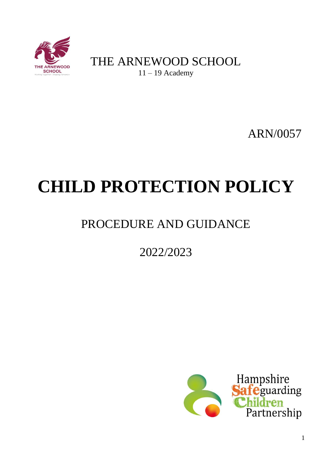

THE ARNEWOOD SCHOOL 11 – 19 Academy

ARN/0057

# **CHILD PROTECTION POLICY**

# PROCEDURE AND GUIDANCE

# 2022/2023

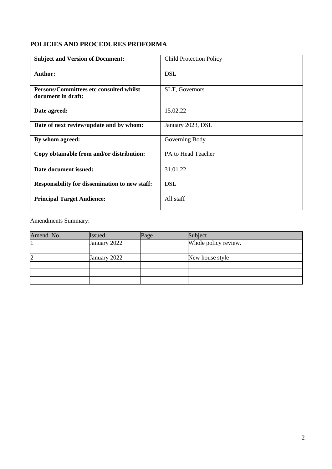# **POLICIES AND PROCEDURES PROFORMA**

| <b>Subject and Version of Document:</b>                       | <b>Child Protection Policy</b> |
|---------------------------------------------------------------|--------------------------------|
| <b>Author:</b>                                                | <b>DSL</b>                     |
| Persons/Committees etc consulted whilst<br>document in draft: | SLT, Governors                 |
| Date agreed:                                                  | 15.02.22                       |
| Date of next review/update and by whom:                       | January 2023, DSL              |
| By whom agreed:                                               | Governing Body                 |
| Copy obtainable from and/or distribution:                     | PA to Head Teacher             |
| Date document issued:                                         | 31.01.22                       |
| <b>Responsibility for dissemination to new staff:</b>         | <b>DSL</b>                     |
| <b>Principal Target Audience:</b>                             | All staff                      |

Amendments Summary:

| Amend. No. | <b>Issued</b> | Page | Subject              |  |
|------------|---------------|------|----------------------|--|
|            | January 2022  |      | Whole policy review. |  |
| 2          | January 2022  |      | New house style      |  |
|            |               |      |                      |  |
|            |               |      |                      |  |
|            |               |      |                      |  |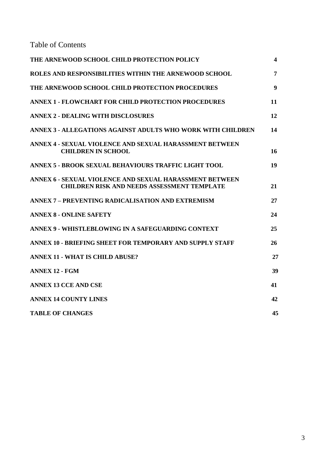Table of Contents

| THE ARNEWOOD SCHOOL CHILD PROTECTION POLICY                                                                   | $\overline{\mathbf{4}}$ |
|---------------------------------------------------------------------------------------------------------------|-------------------------|
| ROLES AND RESPONSIBILITIES WITHIN THE ARNEWOOD SCHOOL                                                         | 7                       |
| THE ARNEWOOD SCHOOL CHILD PROTECTION PROCEDURES                                                               | 9                       |
| <b>ANNEX 1 - FLOWCHART FOR CHILD PROTECTION PROCEDURES</b>                                                    | 11                      |
| <b>ANNEX 2 - DEALING WITH DISCLOSURES</b>                                                                     | 12                      |
| ANNEX 3 - ALLEGATIONS AGAINST ADULTS WHO WORK WITH CHILDREN                                                   | 14                      |
| ANNEX 4 - SEXUAL VIOLENCE AND SEXUAL HARASSMENT BETWEEN<br><b>CHILDREN IN SCHOOL</b>                          | 16                      |
| <b>ANNEX 5 - BROOK SEXUAL BEHAVIOURS TRAFFIC LIGHT TOOL</b>                                                   | 19                      |
| ANNEX 6 - SEXUAL VIOLENCE AND SEXUAL HARASSMENT BETWEEN<br><b>CHILDREN RISK AND NEEDS ASSESSMENT TEMPLATE</b> | 21                      |
| ANNEX 7 - PREVENTING RADICALISATION AND EXTREMISM                                                             | 27                      |
| <b>ANNEX 8 - ONLINE SAFETY</b>                                                                                | 24                      |
| ANNEX 9 - WHISTLEBLOWING IN A SAFEGUARDING CONTEXT                                                            | 25                      |
| <b>ANNEX 10 - BRIEFING SHEET FOR TEMPORARY AND SUPPLY STAFF</b>                                               | 26                      |
| <b>ANNEX 11 - WHAT IS CHILD ABUSE?</b>                                                                        | 27                      |
| <b>ANNEX 12 - FGM</b>                                                                                         | 39                      |
| <b>ANNEX 13 CCE AND CSE</b>                                                                                   | 41                      |
| <b>ANNEX 14 COUNTY LINES</b>                                                                                  | 42                      |
| <b>TABLE OF CHANGES</b>                                                                                       | 45                      |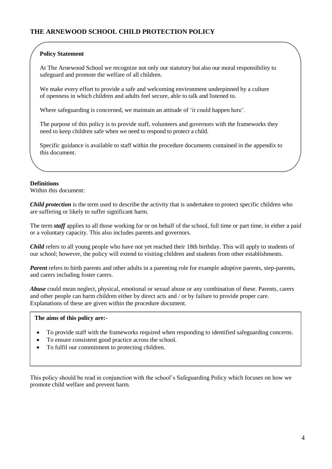#### **Policy Statement**

At The Arnewood School we recognize not only our statutory but also our moral responsibility to safeguard and promote the welfare of all children.

We make every effort to provide a safe and welcoming environment underpinned by a culture of openness in which children and adults feel secure, able to talk and listened to.

Where safeguarding is concerned, we maintain an attitude of 'it could happen here'.

The purpose of this policy is to provide staff, volunteers and governors with the frameworks they need to keep children safe when we need to respond to protect a child.

Specific guidance is available to staff within the procedure documents contained in the appendix to this document.

#### **Definitions**

Within this document:

*Child protection* is the term used to describe the activity that is undertaken to protect specific children who are suffering or likely to suffer significant harm.

The term *staff* applies to all those working for or on behalf of the school, full time or part time, in either a paid or a voluntary capacity. This also includes parents and governors.

*Child* refers to all young people who have not yet reached their 18th birthday. This will apply to students of our school; however, the policy will extend to visiting children and students from other establishments.

*Parent* refers to birth parents and other adults in a parenting role for example adoptive parents, step-parents, and carers including foster carers.

*Abuse* could mean neglect, physical, emotional or sexual abuse or any combination of these. Parents, carers and other people can harm children either by direct acts and / or by failure to provide proper care. Explanations of these are given within the procedure document.

#### **The aims of this policy are:-**

- To provide staff with the frameworks required when responding to identified safeguarding concerns.
- To ensure consistent good practice across the school.
- To fulfil our commitment to protecting children.

This policy should be read in conjunction with the school's Safeguarding Policy which focuses on how we promote child welfare and prevent harm.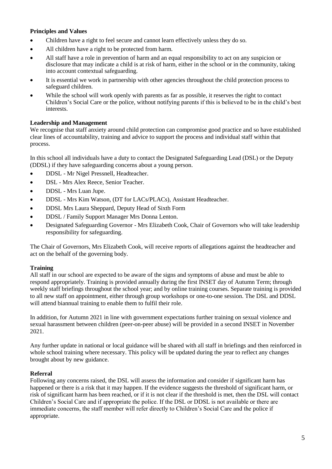#### **Principles and Values**

- Children have a right to feel secure and cannot learn effectively unless they do so.
- All children have a right to be protected from harm.
- All staff have a role in prevention of harm and an equal responsibility to act on any suspicion or disclosure that may indicate a child is at risk of harm, either in the school or in the community, taking into account contextual safeguarding.
- It is essential we work in partnership with other agencies throughout the child protection process to safeguard children.
- While the school will work openly with parents as far as possible, it reserves the right to contact Children's Social Care or the police, without notifying parents if this is believed to be in the child's best interests.

# **Leadership and Management**

We recognise that staff anxiety around child protection can compromise good practice and so have established clear lines of accountability, training and advice to support the process and individual staff within that process.

In this school all individuals have a duty to contact the Designated Safeguarding Lead (DSL) or the Deputy (DDSL) if they have safeguarding concerns about a young person.

- DDSL Mr Nigel Pressnell, Headteacher.
- DSL Mrs Alex Reece, Senior Teacher.
- DDSL Mrs Luan Jupe.
- DDSL Mrs Kim Watson, (DT for LACs/PLACs), Assistant Headteacher.
- DDSL Mrs Laura Sheppard, Deputy Head of Sixth Form
- DDSL / Family Support Manager Mrs Donna Lenton.
- Designated Safeguarding Governor Mrs Elizabeth Cook, Chair of Governors who will take leadership responsibility for safeguarding.

The Chair of Governors, Mrs Elizabeth Cook, will receive reports of allegations against the headteacher and act on the behalf of the governing body.

#### **Training**

All staff in our school are expected to be aware of the signs and symptoms of abuse and must be able to respond appropriately. Training is provided annually during the first INSET day of Autumn Term; through weekly staff briefings throughout the school year; and by online training courses. Separate training is provided to all new staff on appointment, either through group workshops or one-to-one session. The DSL and DDSL will attend biannual training to enable them to fulfil their role.

In addition, for Autumn 2021 in line with government expectations further training on sexual violence and sexual harassment between children (peer-on-peer abuse) will be provided in a second INSET in November 2021.

Any further update in national or local guidance will be shared with all staff in briefings and then reinforced in whole school training where necessary. This policy will be updated during the year to reflect any changes brought about by new guidance.

#### **Referral**

Following any concerns raised, the DSL will assess the information and consider if significant harm has happened or there is a risk that it may happen. If the evidence suggests the threshold of significant harm, or risk of significant harm has been reached, or if it is not clear if the threshold is met, then the DSL will contact Children's Social Care and if appropriate the police. If the DSL or DDSL is not available or there are immediate concerns, the staff member will refer directly to Children's Social Care and the police if appropriate.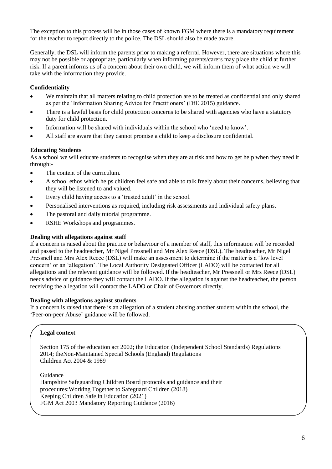The exception to this process will be in those cases of known FGM where there is a mandatory requirement for the teacher to report directly to the police. The DSL should also be made aware.

Generally, the DSL will inform the parents prior to making a referral. However, there are situations where this may not be possible or appropriate, particularly when informing parents/carers may place the child at further risk. If a parent informs us of a concern about their own child, we will inform them of what action we will take with the information they provide.

#### **Confidentiality**

- We maintain that all matters relating to child protection are to be treated as confidential and only shared as per the 'Information Sharing Advice for Practitioners' (DfE 2015) guidance.
- There is a lawful basis for child protection concerns to be shared with agencies who have a statutory duty for child protection.
- Information will be shared with individuals within the school who 'need to know'.
- All staff are aware that they cannot promise a child to keep a disclosure confidential.

#### **Educating Students**

As a school we will educate students to recognise when they are at risk and how to get help when they need it through:-

- The content of the curriculum.
- A school ethos which helps children feel safe and able to talk freely about their concerns, believing that they will be listened to and valued.
- Every child having access to a 'trusted adult' in the school.
- Personalised interventions as required, including risk assessments and individual safety plans.
- The pastoral and daily tutorial programme.
- RSHE Workshops and programmes.

#### **Dealing with allegations against staff**

If a concern is raised about the practice or behaviour of a member of staff, this information will be recorded and passed to the headteacher, Mr Nigel Pressnell and Mrs Alex Reece (DSL). The headteacher, Mr Nigel Pressnell and Mrs Alex Reece (DSL) will make an assessment to determine if the matter is a 'low level concern' or an 'allegation'. The Local Authority Designated Officer (LADO) will be contacted for all allegations and the relevant guidance will be followed. If the headteacher, Mr Pressnell or Mrs Reece (DSL) needs advice or guidance they will contact the LADO. If the allegation is against the headteacher, the person receiving the allegation will contact the LADO or Chair of Governors directly.

#### **Dealing with allegations against students**

If a concern is raised that there is an allegation of a student abusing another student within the school, the 'Peer-on-peer Abuse' guidance will be followed.

#### **Legal context**

Section 175 of the education act 2002; the Education (Independent School Standards) Regulations 2014; theNon-Maintained Special Schools (England) Regulations Children Act 2004 & 1989

Guidance Hampshire Safeguarding Children Board protocols and guidance and their procedures:Working Together [to Safeguard Children](https://www.gov.uk/government/publications/working-together-to-safeguard-children--2) (2018) Keeping [Children Safe](https://www.gov.uk/government/publications/keeping-children-safe-in-education) in Education (2021) FGM Act 2003 Mandatory Reporting Guidance (2016)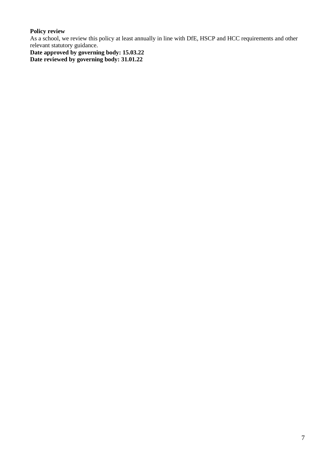# **Policy review**

As a school, we review this policy at least annually in line with DfE, HSCP and HCC requirements and other relevant statutory guidance.

**Date approved by governing body: 15.03.22 Date reviewed by governing body: 31.01.22**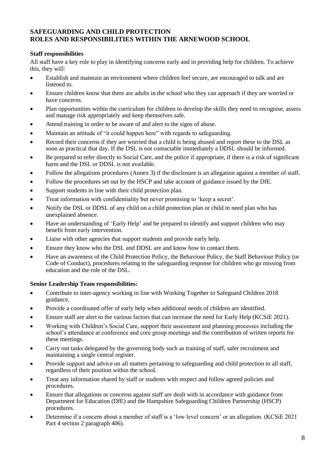# **SAFEGUARDING AND CHILD PROTECTION ROLES AND RESPONSIBILITIES WITHIN THE ARNEWOOD SCHOOL**

#### **Staff responsibilities**

All staff have a key role to play in identifying concerns early and in providing help for children. To achieve this, they will:

- Establish and maintain an environment where children feel secure, are encouraged to talk and are listened to.
- Ensure children know that there are adults in the school who they can approach if they are worried or have concerns.
- Plan opportunities within the curriculum for children to develop the skills they need to recognise, assess and manage risk appropriately and keep themselves safe.
- Attend training in order to be aware of and alert to the signs of abuse.
- Maintain an attitude of "it could happen here" with regards to safeguarding.
- Record their concerns if they are worried that a child is being abused and report these to the DSL as soon as practical that day. If the DSL is not contactable immediately a DDSL should be informed.
- Be prepared to refer directly to Social Care, and the police if appropriate, if there is a risk of significant harm and the DSL or DDSL is not available.
- Follow the allegations procedures (Annex 3) if the disclosure is an allegation against a member of staff.
- Follow the procedures set out by the HSCP and take account of guidance issued by the DfE.
- Support students in line with their child protection plan.
- Treat information with confidentiality but never promising to 'keep a secret'.
- Notify the DSL or DDSL of any child on a child protection plan or child in need plan who has unexplained absence.
- Have an understanding of 'Early Help' and be prepared to identify and support children who may benefit from early intervention.
- Liaise with other agencies that support students and provide early help.
- Ensure they know who the DSL and DDSL are and know how to contact them.
- Have an awareness of the Child Protection Policy, the Behaviour Policy, the Staff Behaviour Policy (or Code of Conduct), procedures relating to the safeguarding response for children who go missing from education and the role of the DSL.

#### **Senior Leadership Team responsibilities:**

- Contribute to inter-agency working in line with Working Together to Safeguard Children 2018 guidance.
- Provide a coordinated offer of early help when additional needs of children are identified.
- Ensure staff are alert to the various factors that can increase the need for Early Help (KCSiE 2021).
- Working with Children's Social Care, support their assessment and planning processes including the school's attendance at conference and core group meetings and the contribution of written reports for these meetings.
- Carry out tasks delegated by the governing body such as training of staff, safer recruitment and maintaining a single central register.
- Provide support and advice on all matters pertaining to safeguarding and child protection to all staff, regardless of their position within the school.
- Treat any information shared by staff or students with respect and follow agreed policies and procedures.
- Ensure that allegations or concerns against staff are dealt with in accordance with guidance from Department for Education (DfE) and the Hampshire Safeguarding Children Partnership (HSCP) procedures.
- Determine if a concern about a member of staff is a 'low level concern' or an allegation. (KCSiE 2021 Part 4 section 2 paragraph 406).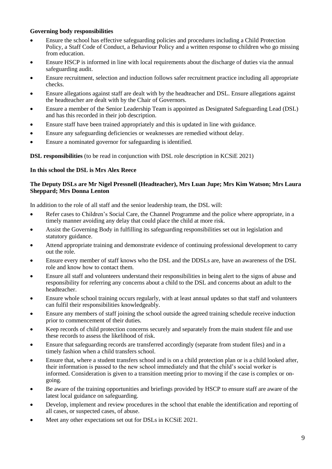#### **Governing body responsibilities**

- Ensure the school has effective safeguarding policies and procedures including a Child Protection Policy, a Staff Code of Conduct, a Behaviour Policy and a written response to children who go missing from education.
- Ensure HSCP is informed in line with local requirements about the discharge of duties via the annual safeguarding audit.
- Ensure recruitment, selection and induction follows safer recruitment practice including all appropriate checks.
- Ensure allegations against staff are dealt with by the headteacher and DSL. Ensure allegations against the headteacher are dealt with by the Chair of Governors.
- Ensure a member of the Senior Leadership Team is appointed as Designated Safeguarding Lead (DSL) and has this recorded in their job description.
- Ensure staff have been trained appropriately and this is updated in line with guidance.
- Ensure any safeguarding deficiencies or weaknesses are remedied without delay.
- Ensure a nominated governor for safeguarding is identified.

**DSL responsibilities** (to be read in conjunction with DSL role description in KCSiE 2021)

#### **In this school the DSL is Mrs Alex Reece**

#### **The Deputy DSLs are Mr Nigel Pressnell (Headteacher), Mrs Luan Jupe; Mrs Kim Watson; Mrs Laura Sheppard; Mrs Donna Lenton**

In addition to the role of all staff and the senior leadership team, the DSL will:

- Refer cases to Children's Social Care, the Channel Programme and the police where appropriate, in a timely manner avoiding any delay that could place the child at more risk.
- Assist the Governing Body in fulfilling its safeguarding responsibilities set out in legislation and statutory guidance.
- Attend appropriate training and demonstrate evidence of continuing professional development to carry out the role.
- Ensure every member of staff knows who the DSL and the DDSLs are, have an awareness of the DSL role and know how to contact them.
- Ensure all staff and volunteers understand their responsibilities in being alert to the signs of abuse and responsibility for referring any concerns about a child to the DSL and concerns about an adult to the headteacher.
- Ensure whole school training occurs regularly, with at least annual updates so that staff and volunteers can fulfil their responsibilities knowledgeably.
- Ensure any members of staff joining the school outside the agreed training schedule receive induction prior to commencement of their duties.
- Keep records of child protection concerns securely and separately from the main student file and use these records to assess the likelihood of risk.
- Ensure that safeguarding records are transferred accordingly (separate from student files) and in a timely fashion when a child transfers school.
- Ensure that, where a student transfers school and is on a child protection plan or is a child looked after, their information is passed to the new school immediately and that the child's social worker is informed. Consideration is given to a transition meeting prior to moving if the case is complex or ongoing.
- Be aware of the training opportunities and briefings provided by HSCP to ensure staff are aware of the latest local guidance on safeguarding.
- Develop, implement and review procedures in the school that enable the identification and reporting of all cases, or suspected cases, of abuse.
- Meet any other expectations set out for DSLs in KCSiE 2021.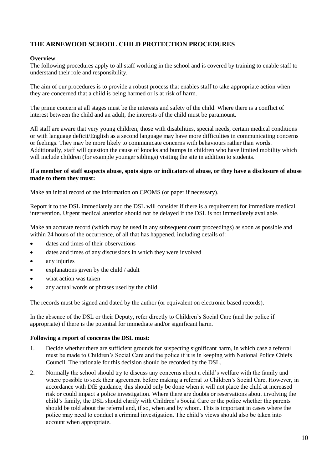# **THE ARNEWOOD SCHOOL CHILD PROTECTION PROCEDURES**

#### **Overview**

The following procedures apply to all staff working in the school and is covered by training to enable staff to understand their role and responsibility.

The aim of our procedures is to provide a robust process that enables staff to take appropriate action when they are concerned that a child is being harmed or is at risk of harm.

The prime concern at all stages must be the interests and safety of the child. Where there is a conflict of interest between the child and an adult, the interests of the child must be paramount.

All staff are aware that very young children, those with disabilities, special needs, certain medical conditions or with language deficit/English as a second language may have more difficulties in communicating concerns or feelings. They may be more likely to communicate concerns with behaviours rather than words. Additionally, staff will question the cause of knocks and bumps in children who have limited mobility which will include children (for example younger siblings) visiting the site in addition to students.

#### **If a member of staff suspects abuse, spots signs or indicators of abuse, or they have a disclosure of abuse made to them they must:**

Make an initial record of the information on CPOMS (or paper if necessary).

Report it to the DSL immediately and the DSL will consider if there is a requirement for immediate medical intervention. Urgent medical attention should not be delayed if the DSL is not immediately available.

Make an accurate record (which may be used in any subsequent court proceedings) as soon as possible and within 24 hours of the occurrence, of all that has happened, including details of:

- dates and times of their observations
- dates and times of any discussions in which they were involved
- any injuries
- explanations given by the child / adult
- what action was taken
- any actual words or phrases used by the child

The records must be signed and dated by the author (or equivalent on electronic based records).

In the absence of the DSL or their Deputy, refer directly to Children's Social Care (and the police if appropriate) if there is the potential for immediate and/or significant harm.

#### **Following a report of concerns the DSL must:**

- 1. Decide whether there are sufficient grounds for suspecting significant harm, in which case a referral must be made to Children's Social Care and the police if it is in keeping with National Police Chiefs Council. The rationale for this decision should be recorded by the DSL.
- 2. Normally the school should try to discuss any concerns about a child's welfare with the family and where possible to seek their agreement before making a referral to Children's Social Care. However, in accordance with DfE guidance, this should only be done when it will not place the child at increased risk or could impact a police investigation. Where there are doubts or reservations about involving the child's family, the DSL should clarify with Children's Social Care or the police whether the parents should be told about the referral and, if so, when and by whom. This is important in cases where the police may need to conduct a criminal investigation. The child's views should also be taken into account when appropriate.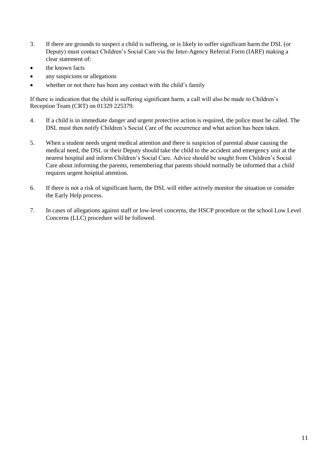- 3. If there are grounds to suspect a child is suffering, or is likely to suffer significant harm the DSL (or Deputy) must contact Children's Social Care via the Inter-Agency Referral Form (IARF) making a clear statement of:
- the known facts
- any suspicions or allegations
- whether or not there has been any contact with the child's family

If there is indication that the child is suffering significant harm, a call will also be made to Children's Reception Team (CRT) on 01329 225379.

- 4. If a child is in immediate danger and urgent protective action is required, the police must be called. The DSL must then notify Children's Social Care of the occurrence and what action has been taken.
- 5. When a student needs urgent medical attention and there is suspicion of parental abuse causing the medical need, the DSL or their Deputy should take the child to the accident and emergency unit at the nearest hospital and inform Children's Social Care. Advice should be sought from Children's Social Care about informing the parents, remembering that parents should normally be informed that a child requires urgent hospital attention.
- 6. If there is not a risk of significant harm, the DSL will either actively monitor the situation or consider the Early Help process.
- 7. In cases of allegations against staff or low-level concerns, the HSCP procedure or the school Low Level Concerns (LLC) procedure will be followed.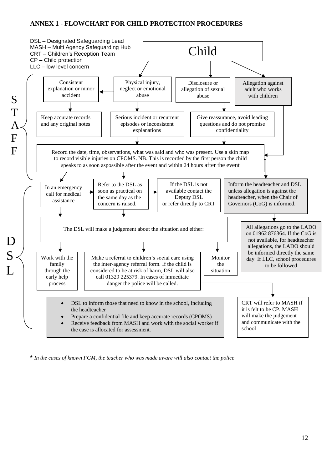# **ANNEX 1 - FLOWCHART FOR CHILD PROTECTION PROCEDURES**



**\*** *In the cases of known FGM, the teacher who was made aware will also contact the police*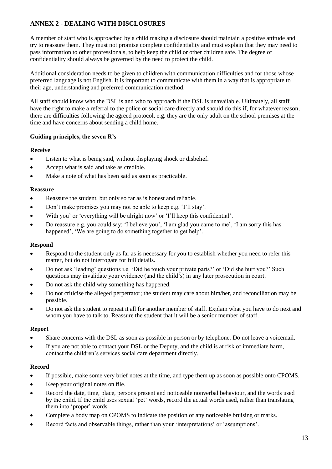# **ANNEX 2 - DEALING WITH DISCLOSURES**

A member of staff who is approached by a child making a disclosure should maintain a positive attitude and try to reassure them. They must not promise complete confidentiality and must explain that they may need to pass information to other professionals, to help keep the child or other children safe. The degree of confidentiality should always be governed by the need to protect the child.

Additional consideration needs to be given to children with communication difficulties and for those whose preferred language is not English. It is important to communicate with them in a way that is appropriate to their age, understanding and preferred communication method.

All staff should know who the DSL is and who to approach if the DSL is unavailable. Ultimately, all staff have the right to make a referral to the police or social care directly and should do this if, for whatever reason, there are difficulties following the agreed protocol, e.g. they are the only adult on the school premises at the time and have concerns about sending a child home.

#### **Guiding principles, the seven R's**

#### **Receive**

- Listen to what is being said, without displaying shock or disbelief.
- Accept what is said and take as credible.
- Make a note of what has been said as soon as practicable.

#### **Reassure**

- Reassure the student, but only so far as is honest and reliable.
- Don't make promises you may not be able to keep e.g. 'I'll stay'.
- With you' or 'everything will be alright now' or 'I'll keep this confidential'.
- Do reassure e.g. you could say: 'I believe you', 'I am glad you came to me', 'I am sorry this has happened', 'We are going to do something together to get help'.

#### **Respond**

- Respond to the student only as far as is necessary for you to establish whether you need to refer this matter, but do not interrogate for full details.
- Do not ask 'leading' questions i.e. 'Did he touch your private parts?' or 'Did she hurt you?' Such questions may invalidate your evidence (and the child's) in any later prosecution in court.
- Do not ask the child why something has happened.
- Do not criticise the alleged perpetrator; the student may care about him/her, and reconciliation may be possible.
- Do not ask the student to repeat it all for another member of staff. Explain what you have to do next and whom you have to talk to. Reassure the student that it will be a senior member of staff.

#### **Report**

- Share concerns with the DSL as soon as possible in person or by telephone. Do not leave a voicemail.
- If you are not able to contact your DSL or the Deputy, and the child is at risk of immediate harm, contact the children's services social care department directly.

#### **Record**

- If possible, make some very brief notes at the time, and type them up as soon as possible onto CPOMS.
- Keep your original notes on file.
- Record the date, time, place, persons present and noticeable nonverbal behaviour, and the words used by the child. If the child uses sexual 'pet' words, record the actual words used, rather than translating them into 'proper' words.
- Complete a body map on CPOMS to indicate the position of any noticeable bruising or marks.
- Record facts and observable things, rather than your 'interpretations' or 'assumptions'.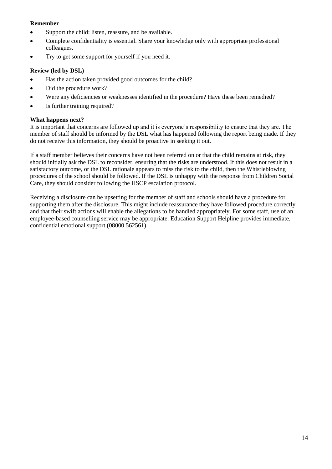#### **Remember**

- Support the child: listen, reassure, and be available.
- Complete confidentiality is essential. Share your knowledge only with appropriate professional colleagues.
- Try to get some support for yourself if you need it.

#### **Review (led by DSL)**

- Has the action taken provided good outcomes for the child?
- Did the procedure work?
- Were any deficiencies or weaknesses identified in the procedure? Have these been remedied?
- Is further training required?

#### **What happens next?**

It is important that concerns are followed up and it is everyone's responsibility to ensure that they are. The member of staff should be informed by the DSL what has happened following the report being made. If they do not receive this information, they should be proactive in seeking it out.

If a staff member believes their concerns have not been referred on or that the child remains at risk, they should initially ask the DSL to reconsider, ensuring that the risks are understood. If this does not result in a satisfactory outcome, or the DSL rationale appears to miss the risk to the child, then the Whistleblowing procedures of the school should be followed. If the DSL is unhappy with the response from Children Social Care, they should consider following the HSCP escalation protocol.

Receiving a disclosure can be upsetting for the member of staff and schools should have a procedure for supporting them after the disclosure. This might include reassurance they have followed procedure correctly and that their swift actions will enable the allegations to be handled appropriately. For some staff, use of an employee-based counselling service may be appropriate. Education Support Helpline provides immediate, confidential emotional support (08000 562561).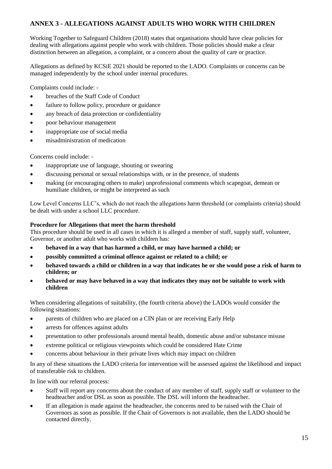# **ANNEX 3 - ALLEGATIONS AGAINST ADULTS WHO WORK WITH CHILDREN**

Working Together to Safeguard Children (2018) states that organisations should have clear policies for dealing with allegations against people who work with children. Those policies should make a clear distinction between an allegation, a complaint, or a concern about the quality of care or practice.

Allegations as defined by KCSiE 2021 should be reported to the LADO. Complaints or concerns can be managed independently by the school under internal procedures.

Complaints could include: -

- breaches of the Staff Code of Conduct
- failure to follow policy, procedure or guidance
- any breach of data protection or confidentiality
- poor behaviour management
- inappropriate use of social media
- misadministration of medication

Concerns could include: -

- inappropriate use of language, shouting or swearing
- discussing personal or sexual relationships with, or in the presence, of students
- making (or encouraging others to make) unprofessional comments which scapegoat, demean or humiliate children, or might be interpreted as such

Low Level Concerns LLC's, which do not reach the allegations harm threshold (or complaints criteria) should be dealt with under a school LLC procedure.

#### **Procedure for Allegations that meet the harm threshold**

This procedure should be used in all cases in which it is alleged a member of staff, supply staff, volunteer, Governor, or another adult who works with children has:

- **behaved in a way that has harmed a child, or may have harmed a child; or**
- **possibly committed a criminal offence against or related to a child; or**
- **behaved towards a child or children in a way that indicates he or she would pose a risk of harm to children; or**
- **behaved or may have behaved in a way that indicates they may not be suitable to work with children**

When considering allegations of suitability, (the fourth criteria above) the LADOs would consider the following situations:

- parents of children who are placed on a CIN plan or are receiving Early Help
- arrests for offences against adults
- presentation to other professionals around mental health, domestic abuse and/or substance misuse
- extreme political or religious viewpoints which could be considered Hate Crime
- concerns about behaviour in their private lives which may impact on children

In any of these situations the LADO criteria for intervention will be assessed against the likelihood and impact of transferable risk to children.

In line with our referral process:

- Staff will report any concerns about the conduct of any member of staff, supply staff or volunteer to the headteacher and/or DSL as soon as possible. The DSL will inform the headteacher.
- If an allegation is made against the headteacher, the concerns need to be raised with the Chair of Governors as soon as possible. If the Chair of Governors is not available, then the LADO should be contacted directly.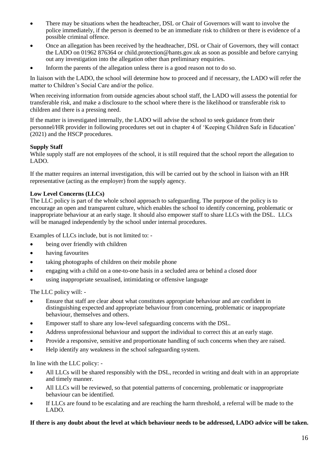- There may be situations when the headteacher, DSL or Chair of Governors will want to involve the police immediately, if the person is deemed to be an immediate risk to children or there is evidence of a possible criminal offence.
- Once an allegation has been received by the headteacher, DSL or Chair of Governors, they will contact the LADO on 01962 876364 or [child.protection@hants.gov.uk a](mailto:child.protection@hants.gov.uk)s soon as possible and before carrying out any investigation into the allegation other than preliminary enquiries.
- Inform the parents of the allegation unless there is a good reason not to do so.

In liaison with the LADO, the school will determine how to proceed and if necessary, the LADO will refer the matter to Children's Social Care and/or the police.

When receiving information from outside agencies about school staff, the LADO will assess the potential for transferable risk, and make a disclosure to the school where there is the likelihood or transferable risk to children and there is a pressing need.

If the matter is investigated internally, the LADO will advise the school to seek guidance from their personnel/HR provider in following procedures set out in chapter 4 of 'Keeping Children Safe in Education' (2021) and the HSCP procedures.

#### **Supply Staff**

While supply staff are not employees of the school, it is still required that the school report the allegation to LADO.

If the matter requires an internal investigation, this will be carried out by the school in liaison with an HR representative (acting as the employer) from the supply agency.

#### **Low Level Concerns (LLCs)**

The LLC policy is part of the whole school approach to safeguarding. The purpose of the policy is to encourage an open and transparent culture, which enables the school to identify concerning, problematic or inappropriate behaviour at an early stage. It should also empower staff to share LLCs with the DSL. LLCs will be managed independently by the school under internal procedures.

Examples of LLCs include, but is not limited to: -

- being over friendly with children
- having favourites
- taking photographs of children on their mobile phone
- engaging with a child on a one-to-one basis in a secluded area or behind a closed door
- using inappropriate sexualised, intimidating or offensive language

The LLC policy will: -

- Ensure that staff are clear about what constitutes appropriate behaviour and are confident in distinguishing expected and appropriate behaviour from concerning, problematic or inappropriate behaviour, themselves and others.
- Empower staff to share any low-level safeguarding concerns with the DSL.
- Address unprofessional behaviour and support the individual to correct this at an early stage.
- Provide a responsive, sensitive and proportionate handling of such concerns when they are raised.
- Help identify any weakness in the school safeguarding system.

In line with the LLC policy: -

- All LLCs will be shared responsibly with the DSL, recorded in writing and dealt with in an appropriate and timely manner.
- All LLCs will be reviewed, so that potential patterns of concerning, problematic or inappropriate behaviour can be identified.
- If LLCs are found to be escalating and are reaching the harm threshold, a referral will be made to the LADO.

#### **If there is any doubt about the level at which behaviour needs to be addressed, LADO advice will be taken.**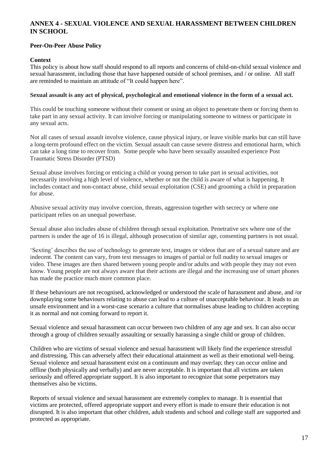# **ANNEX 4 - SEXUAL VIOLENCE AND SEXUAL HARASSMENT BETWEEN CHILDREN IN SCHOOL**

#### **Peer-On-Peer Abuse Policy**

#### **Context**

This policy is about how staff should respond to all reports and concerns of child-on-child sexual violence and sexual harassment, including those that have happened outside of school premises, and / or online. All staff are reminded to maintain an attitude of "It could happen here".

#### **Sexual assault is any act of physical, psychological and emotional violence in the form of a sexual act.**

This could be touching someone without their consent or using an object to penetrate them or forcing them to take part in any sexual activity. It can involve forcing or manipulating someone to witness or participate in any sexual acts.

Not all cases of sexual assault involve violence, cause physical injury, or leave visible marks but can still have a long-term profound effect on the victim. Sexual assault can cause severe distress and emotional harm, which can take a long time to recover from. Some people who have been sexually assaulted experience Post Traumatic Stress Disorder (PTSD)

Sexual abuse involves forcing or enticing a child or young person to take part in sexual activities, not necessarily involving a high level of violence, whether or not the child is aware of what is happening. It includes contact and non-contact abuse, child sexual exploitation (CSE) and grooming a child in preparation for abuse.

Abusive sexual activity may involve coercion, threats, aggression together with secrecy or where one participant relies on an unequal powerbase.

Sexual abuse also includes abuse of children through sexual exploitation. Penetrative sex where one of the partners is under the age of 16 is illegal, although prosecution of similar age, consenting partners is not usual.

'Sexting' describes the use of technology to generate text, images or videos that are of a sexual nature and are indecent. The content can vary, from text messages to images of partial or full nudity to sexual images or video. These images are then shared between young people and/or adults and with people they may not even know. Young people are not always aware that their actions are illegal and the increasing use of smart phones has made the practice much more common place.

If these behaviours are not recognised, acknowledged or understood the scale of harassment and abuse, and /or downplaying some behaviours relating to abuse can lead to a culture of unacceptable behaviour. It leads to an unsafe environment and in a worst-case scenario a culture that normalises abuse leading to children accepting it as normal and not coming forward to report it.

Sexual violence and sexual harassment can occur between two children of any age and sex. It can also occur through a group of children sexually assaulting or sexually harassing a single child or group of children.

Children who are victims of sexual violence and sexual harassment will likely find the experience stressful and distressing. This can adversely affect their educational attainment as well as their emotional well-being. Sexual violence and sexual harassment exist on a continuum and may overlap; they can occur online and offline (both physically and verbally) and are never acceptable. It is important that all victims are taken seriously and offered appropriate support. It is also important to recognize that some perpetrators may themselves also be victims.

Reports of sexual violence and sexual harassment are extremely complex to manage. It is essential that victims are protected, offered appropriate support and every effort is made to ensure their education is not disrupted. It is also important that other children, adult students and school and college staff are supported and protected as appropriate.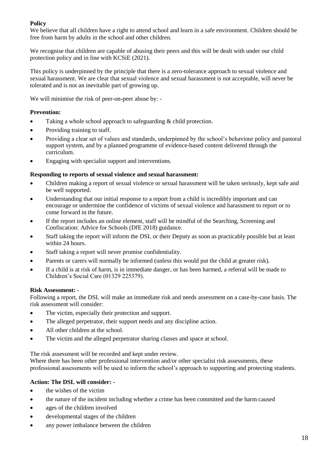#### **Policy**

We believe that all children have a right to attend school and learn in a safe environment. Children should be free from harm by adults in the school and other children.

We recognise that children are capable of abusing their peers and this will be dealt with under our child protection policy and in line with KCSiE (2021).

This policy is underpinned by the principle that there is a zero-tolerance approach to sexual violence and sexual harassment. We are clear that sexual violence and sexual harassment is not acceptable, will never be tolerated and is not an inevitable part of growing up.

We will minimise the risk of peer-on-peer abuse by: -

#### **Prevention:**

- Taking a whole school approach to safeguarding & child protection.
- Providing training to staff.
- Providing a clear set of values and standards, underpinned by the school's behaviour policy and pastoral support system, and by a planned programme of evidence-based content delivered through the curriculum.
- Engaging with specialist support and interventions.

#### **Responding to reports of sexual violence and sexual harassment:**

- Children making a report of sexual violence or sexual harassment will be taken seriously, kept safe and be well supported.
- Understanding that our initial response to a report from a child is incredibly important and can encourage or undermine the confidence of victims of sexual violence and harassment to report or to come forward in the future.
- If the report includes an online element, staff will be mindful of the Searching, Screening and Confiscation: Advice for Schools (DfE 2018) guidance.
- Staff taking the report will inform the DSL or their Deputy as soon as practicably possible but at least within 24 hours.
- Staff taking a report will never promise confidentiality.
- Parents or carers will normally be informed (unless this would put the child at greater risk).
- If a child is at risk of harm, is in immediate danger, or has been harmed, a referral will be made to Children's Social Care (01329 225379).

#### **Risk Assessment: -**

Following a report, the DSL will make an immediate risk and needs assessment on a case-by-case basis. The risk assessment will consider:

- The victim, especially their protection and support.
- The alleged perpetrator, their support needs and any discipline action.
- All other children at the school.
- The victim and the alleged perpetrator sharing classes and space at school.

The risk assessment will be recorded and kept under review.

Where there has been other professional intervention and/or other specialist risk assessments, these professional assessments will be used to inform the school's approach to supporting and protecting students.

#### **Action: The DSL will consider: -**

- the wishes of the victim
- the nature of the incident including whether a crime has been committed and the harm caused
- ages of the children involved
- developmental stages of the children
- any power imbalance between the children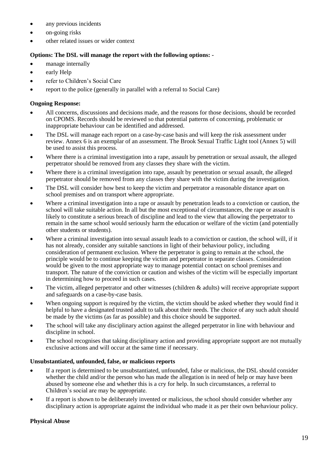- any previous incidents
- on-going risks
- other related issues or wider context

# **Options: The DSL will manage the report with the following options: -**

- manage internally
- early Help
- refer to Children's Social Care
- report to the police (generally in parallel with a referral to Social Care)

# **Ongoing Response:**

- All concerns, discussions and decisions made, and the reasons for those decisions, should be recorded on CPOMS. Records should be reviewed so that potential patterns of concerning, problematic or inappropriate behaviour can be identified and addressed.
- The DSL will manage each report on a case-by-case basis and will keep the risk assessment under review. Annex 6 is an exemplar of an assessment. The Brook Sexual Traffic Light tool (Annex 5) will be used to assist this process.
- Where there is a criminal investigation into a rape, assault by penetration or sexual assault, the alleged perpetrator should be removed from any classes they share with the victim.
- Where there is a criminal investigation into rape, assault by penetration or sexual assault, the alleged perpetrator should be removed from any classes they share with the victim during the investigation.
- The DSL will consider how best to keep the victim and perpetrator a reasonable distance apart on school premises and on transport where appropriate.
- Where a criminal investigation into a rape or assault by penetration leads to a conviction or caution, the school will take suitable action. In all but the most exceptional of circumstances, the rape or assault is likely to constitute a serious breach of discipline and lead to the view that allowing the perpetrator to remain in the same school would seriously harm the education or welfare of the victim (and potentially other students or students).
- Where a criminal investigation into sexual assault leads to a conviction or caution, the school will, if it has not already, consider any suitable sanctions in light of their behaviour policy, including consideration of permanent exclusion. Where the perpetrator is going to remain at the school, the principle would be to continue keeping the victim and perpetrator in separate classes. Consideration would be given to the most appropriate way to manage potential contact on school premises and transport. The nature of the conviction or caution and wishes of the victim will be especially important in determining how to proceed in such cases.
- The victim, alleged perpetrator and other witnesses (children & adults) will receive appropriate support and safeguards on a case-by-case basis.
- When ongoing support is required by the victim, the victim should be asked whether they would find it helpful to have a designated trusted adult to talk about their needs. The choice of any such adult should be made by the victims (as far as possible) and this choice should be supported.
- The school will take any disciplinary action against the alleged perpetrator in line with behaviour and discipline in school.
- The school recognises that taking disciplinary action and providing appropriate support are not mutually exclusive actions and will occur at the same time if necessary.

# **Unsubstantiated, unfounded, false, or malicious reports**

- If a report is determined to be unsubstantiated, unfounded, false or malicious, the DSL should consider whether the child and/or the person who has made the allegation is in need of help or may have been abused by someone else and whether this is a cry for help. In such circumstances, a referral to Children's social are may be appropriate.
- If a report is shown to be deliberately invented or malicious, the school should consider whether any disciplinary action is appropriate against the individual who made it as per their own behaviour policy.

# **Physical Abuse**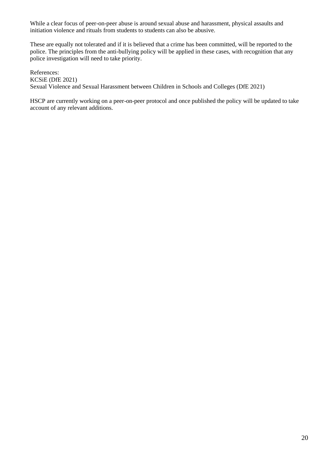While a clear focus of peer-on-peer abuse is around sexual abuse and harassment, physical assaults and initiation violence and rituals from students to students can also be abusive.

These are equally not tolerated and if it is believed that a crime has been committed, will be reported to the police. The principles from the anti-bullying policy will be applied in these cases, with recognition that any police investigation will need to take priority.

References: KCSiE (DfE 2021) Sexual Violence and Sexual Harassment between Children in Schools and Colleges (DfE 2021)

HSCP are currently working on a peer-on-peer protocol and once published the policy will be updated to take account of any relevant additions.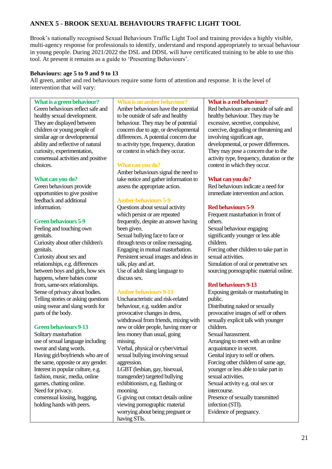# **ANNEX 5 - BROOK SEXUAL BEHAVIOURS TRAFFIC LIGHT TOOL**

Brook's nationally recognised Sexual Behaviours Traffic Light Tool and training provides a highly visible, multi-agency response for professionals to identify, understand and respond appropriately to sexual behaviour in young people. During 2021/2022 the DSL and DDSL will have certificated training to be able to use this tool. At present it remains as a guide to 'Presenting Behaviours'.

#### **Behaviours: age 5 to 9 and 9 to 13**

All green, amber and red behaviours require some form of attention and response. It is the level of intervention that will vary:

#### **What is a green behaviour?**

Green behaviours reflect safe and healthy sexual development. They are displayed between children or young people of similar age or developmental ability and reflective of natural curiosity, experimentation, consensual activities and positive choices.

#### **What can you do?**

Green behaviours provide opportunities to give positive feedback and additional information.

#### **Green behaviours 5-9**

Feeling and touching own genitals. Curiosity about other children's genitals. Curiosity about sex and relationships, e.g. differences between boys and girls, how sex happens, where babies come

from, same-sex relationships. Sense of privacy about bodies. Telling stories or asking questions using swear and slang words for parts of the body.

#### **Green behaviours 9-13**

Solitary masturbation use of sexual language including swear and slang words. Having girl/boyfriends who are of the same, opposite or any gender. Interest in popular culture, e.g. fashion, music, media, online games, chatting online. Need for privacy. consensual kissing, hugging, holding hands with peers.

#### **What is an amber behaviour?**

Amber behaviours have the potential to be outside of safe and healthy behaviour. They may be of potential concern due to age, or developmental differences. A potential concern due to activity type, frequency, duration or context in which they occur.

#### **What can you do?**

Amber behaviours signal the need to take notice and gather information to assess the appropriate action.

#### **Amber behaviours 5-9**

Questions about sexual activity which persist or are repeated frequently, despite an answer having been given. Sexual bullying face to face or through texts or online messaging. Engaging in mutual masturbation. Persistent sexual images and ideas in talk, play and art. Use of adult slang language to discuss sex.

#### **Amber behaviours 9-13**

Uncharacteristic and risk-related behaviour, e.g. sudden and/or provocative changes in dress, withdrawal from friends, mixing with new or older people, having more or less money than usual, going missing. Verbal, physical or cyber/virtual sexual bullying involving sexual aggression. LGBT (lesbian, gay, bisexual, transgender) targeted bullying exhibitionism, e.g. flashing or mooning.

G giving out contact details online viewing pornographic material worrying about being pregnant or having STIs.

#### **What is a red behaviour?**

Red behaviours are outside of safe and healthy behaviour. They may be excessive, secretive, compulsive, coercive, degrading or threatening and involving significant age, developmental, or power differences. They may pose a concern due to the activity type, frequency, duration or the context in which they occur.

#### **What can you do?**

Red behaviours indicate a need for immediate intervention and action.

#### **Red behaviours 5-9**

Frequent masturbation in front of others. Sexual behaviour engaging significantly younger or less able children. Forcing other children to take part in sexual activities. Simulation of oral or penetrative sex sourcing pornographic material online.

#### **Red behaviours 9-13**

Exposing genitals or masturbating in public. Distributing naked or sexually provocative images of self or others sexually explicit talk with younger children. Sexual harassment. Arranging to meet with an online acquaintance in secret. Genital injury to self or others. Forcing other children of same age, younger or less able to take part in sexual activities. Sexual activity e.g. oral sex or intercourse. Presence of sexually transmitted infection (STI). Evidence of pregnancy.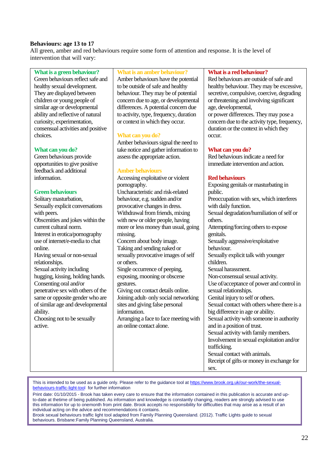#### **Behaviours: age 13 to 17**

All green, amber and red behaviours require some form of attention and response. It is the level of intervention that will vary:

**What is a green behaviour?**

Green behaviours reflect safe and healthy sexual development. They are displayed between children or young people of similar age or developmental ability and reflective of natural curiosity, experimentation, consensual activities and positive choices.

#### **What can you do?**

Green behaviours provide opportunities to give positive feedback and additional information.

#### **Green behaviours**

Solitary masturbation, Sexually explicit conversations with peers. Obscenities and jokes within the current cultural norm. Interest in erotica/pornography use of internet/e-media to chat online. Having sexual or non-sexual relationships. Sexual activity including hugging, kissing, holding hands. Consenting oral and/or penetrative sex with others of the same or opposite gender who are of similar age and developmental ability. Choosing not to be sexually active.

**What is an amber behaviour?**

Amber behaviours have the potential to be outside of safe and healthy behaviour. They may be of potential concern due to age, or developmental differences. A potential concern due to activity, type, frequency, duration or context in which they occur.

#### **What can you do?**

Amber behaviours signal the need to take notice and gather information to assess the appropriate action.

#### **Amber behaviours**

Accessing exploitative or violent pornography. Uncharacteristic and risk-related behaviour, e.g. sudden and/or provocative changes in dress. Withdrawal from friends, mixing with new or older people, having more or less money than usual, going missing. Concern about body image. Taking and sending naked or sexually provocative images of self or others.

Single occurrence of peeping, exposing, mooning or obscene gestures.

Giving out contact details online. Joining adult- only social networking sites and giving false personal information.

Arranging a face to face meeting with an online contact alone.

#### **What is a red behaviour?**

Red behaviours are outside of safe and healthy behaviour. They may be excessive, secretive, compulsive, coercive, degrading or threatening and involving significant age, developmental,

or power differences. They may pose a concern due to the activity type, frequency, duration or the context in which they occur.

#### **What can you do?**

Red behaviours indicate a need for immediate intervention and action.

#### **Red behaviours**

Exposing genitals or masturbating in public. Preoccupation with sex, which interferes with daily function. Sexual degradation/humiliation of self or others. Attempting/forcing others to expose genitals. Sexually aggressive/exploitative behaviour. Sexually explicit talk with younger children. Sexual harassment. Non-consensual sexual activity. Use of/acceptance of power and control in sexual relationships. Genital injury to self or others. Sexual contact with others where there is a big difference in age or ability. Sexual activity with someone in authority and in a position of trust. Sexual activity with family members. Involvement in sexual exploitation and/or trafficking. Sexual contact with animals. Receipt of gifts or money in exchange for sex.

This is intended to be used as a guide only. Please refer to the guidance tool at [https://www.brook.org.uk/our-work/the-sexual](https://www.brook.org.uk/our-work/the-sexual-behaviours-traffic-light-tool)[behaviours-traffic-light-tool](https://www.brook.org.uk/our-work/the-sexual-behaviours-traffic-light-tool) for further information

Print date: 01/10/2015 - Brook has taken every care to ensure that the information contained in this publication is accurate and upto-date at thetime of being published. As information and knowledge is constantly changing, readers are strongly advised to use this information for up to onemonth from print date. Brook accepts no responsibility for difficulties that may arise as a result of an individual acting on the advice and recommendations it contains.

Brook sexual behaviours traffic light tool adapted from Family Planning Queensland. (2012). Traffic Lights guide to sexual behaviours. Brisbane:Family Planning Queensland, Australia.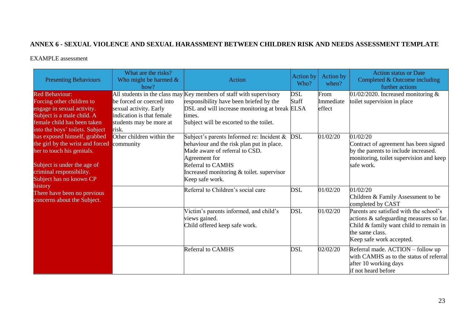# **ANNEX 6 - SEXUAL VIOLENCE AND SEXUAL HARASSMENT BETWEEN CHILDREN RISK AND NEEDS ASSESSMENT TEMPLATE**

#### EXAMPLE assessment

| <b>Presenting Behaviours</b>                                                                                                                                                         | What are the risks?<br>Who might be harmed $\&$<br>how?                                                              | Action                                                                                                                                                                                                                                | <b>Action by</b><br>Who? | Action by<br>when?          | <b>Action status or Date</b><br>Completed & Outcome including<br>further actions                                                                                            |
|--------------------------------------------------------------------------------------------------------------------------------------------------------------------------------------|----------------------------------------------------------------------------------------------------------------------|---------------------------------------------------------------------------------------------------------------------------------------------------------------------------------------------------------------------------------------|--------------------------|-----------------------------|-----------------------------------------------------------------------------------------------------------------------------------------------------------------------------|
| <b>Red Behaviour:</b><br>Forcing other children to<br>engage in sexual activity.<br>Subject is a male child. A<br>female child has been taken<br>into the boys' toilets. Subject     | be forced or coerced into<br>sexual activity. Early<br>indication is that female<br>students may be more at<br>risk. | All students in the class may Key members of staff with supervisory<br>responsibility have been briefed by the<br>DSL and will increase monitoring at break ELSA<br>times.<br>Subject will be escorted to the toilet.                 | DSL<br>Staff             | From<br>Immediate<br>effect | 01/02/2020. Increased monitoring $&$<br>toilet supervision in place                                                                                                         |
| has exposed himself, grabbed<br>the girl by the wrist and forced<br>her to touch his genitals.<br>Subject is under the age of<br>criminal responsibility.<br>Subject has no known CP | Other children within the<br>community                                                                               | Subject's parents Informed re: Incident &<br>behaviour and the risk plan put in place.<br>Made aware of referral to CSD.<br>Agreement for<br><b>Referral to CAMHS</b><br>Increased monitoring & toilet. supervisor<br>Keep safe work. | <b>DSL</b>               | 01/02/20                    | 01/02/20<br>Contract of agreement has been signed<br>by the parents to include increased.<br>monitoring, toilet supervision and keep<br>safe work.                          |
| history<br>There have been no previous<br>concerns about the Subject.                                                                                                                |                                                                                                                      | Referral to Children's social care                                                                                                                                                                                                    | <b>DSL</b>               | 01/02/20                    | 01/02/20<br>Children & Family Assessment to be<br>completed by CAST                                                                                                         |
|                                                                                                                                                                                      |                                                                                                                      | Victim's parents informed, and child's<br>views gained.<br>Child offered keep safe work.                                                                                                                                              | <b>DSL</b>               | 01/02/20                    | Parents are satisfied with the school's<br>actions & safeguarding measures so far.<br>Child & family want child to remain in<br>the same class.<br>Keep safe work accepted. |
|                                                                                                                                                                                      |                                                                                                                      | Referral to CAMHS                                                                                                                                                                                                                     | <b>DSL</b>               | 02/02/20                    | Referral made. ACTION - follow up<br>with CAMHS as to the status of referral<br>after 10 working days<br>if not heard before                                                |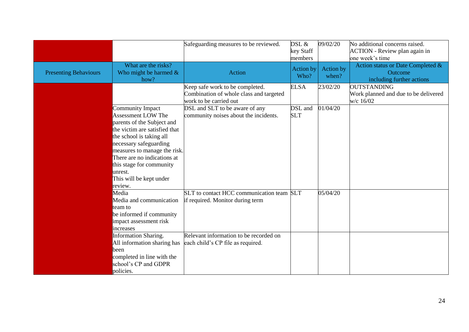|                              |                                                                                                                                                                                                                                                                                                         | Safeguarding measures to be reviewed.                                                                | DSL &<br>key Staff<br>members | 09/02/20           | No additional concerns raised.<br><b>ACTION</b> - Review plan again in<br>one week's time |
|------------------------------|---------------------------------------------------------------------------------------------------------------------------------------------------------------------------------------------------------------------------------------------------------------------------------------------------------|------------------------------------------------------------------------------------------------------|-------------------------------|--------------------|-------------------------------------------------------------------------------------------|
| <b>Presenting Behaviours</b> | What are the risks?<br>Who might be harmed $\&$<br>how?                                                                                                                                                                                                                                                 | <b>Action</b>                                                                                        | <b>Action</b> by<br>Who?      | Action by<br>when? | Action status or Date Completed &<br>Outcome<br>including further actions                 |
|                              |                                                                                                                                                                                                                                                                                                         | Keep safe work to be completed.<br>Combination of whole class and targeted<br>work to be carried out | <b>ELSA</b>                   | 23/02/20           | <b>OUTSTANDING</b><br>Work planned and due to be delivered<br>w/c 16/02                   |
|                              | Community Impact<br>Assessment LOW The<br>parents of the Subject and<br>the victim are satisfied that<br>the school is taking all<br>necessary safeguarding<br>measures to manage the risk.<br>There are no indications at<br>this stage for community<br>unrest.<br>This will be kept under<br>review. | DSL and SLT to be aware of any<br>community noises about the incidents.                              | DSL and<br><b>SLT</b>         | 01/04/20           |                                                                                           |
|                              | Media<br>Media and communication<br>team to<br>be informed if community<br>impact assessment risk<br>increases                                                                                                                                                                                          | SLT to contact HCC communication team SLT<br>if required. Monitor during term                        |                               | 05/04/20           |                                                                                           |
|                              | Information Sharing.<br>All information sharing has<br>been<br>completed in line with the<br>school's CP and GDPR<br>policies.                                                                                                                                                                          | Relevant information to be recorded on<br>each child's CP file as required.                          |                               |                    |                                                                                           |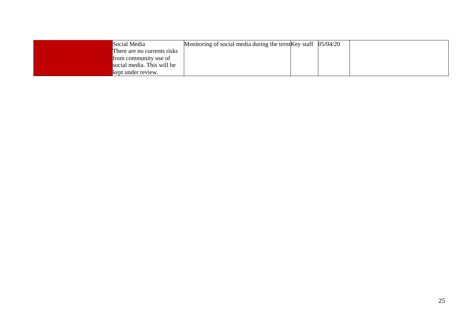| Social Media                | Monitoring of social media during the term $Key$ staff $05/04/20$ |  |  |
|-----------------------------|-------------------------------------------------------------------|--|--|
| There are no currents risks |                                                                   |  |  |
| from community use of       |                                                                   |  |  |
| social media. This will be  |                                                                   |  |  |
| kept under review.          |                                                                   |  |  |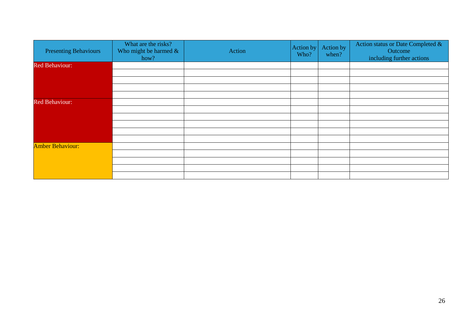| <b>Presenting Behaviours</b> | What are the risks?<br>Who might be harmed $\&$<br>how? | Action | Action by<br>Who? | Action by<br>when? | Action status or Date Completed &<br>Outcome<br>including further actions |
|------------------------------|---------------------------------------------------------|--------|-------------------|--------------------|---------------------------------------------------------------------------|
| <b>Red Behaviour:</b>        |                                                         |        |                   |                    |                                                                           |
|                              |                                                         |        |                   |                    |                                                                           |
|                              |                                                         |        |                   |                    |                                                                           |
|                              |                                                         |        |                   |                    |                                                                           |
|                              |                                                         |        |                   |                    |                                                                           |
| <b>Red Behaviour:</b>        |                                                         |        |                   |                    |                                                                           |
|                              |                                                         |        |                   |                    |                                                                           |
|                              |                                                         |        |                   |                    |                                                                           |
|                              |                                                         |        |                   |                    |                                                                           |
|                              |                                                         |        |                   |                    |                                                                           |
|                              |                                                         |        |                   |                    |                                                                           |
| <b>Amber Behaviour:</b>      |                                                         |        |                   |                    |                                                                           |
|                              |                                                         |        |                   |                    |                                                                           |
|                              |                                                         |        |                   |                    |                                                                           |
|                              |                                                         |        |                   |                    |                                                                           |
|                              |                                                         |        |                   |                    |                                                                           |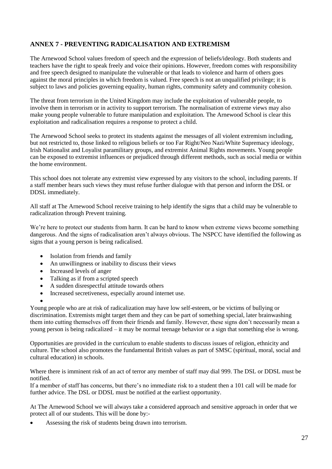# **ANNEX 7 - PREVENTING RADICALISATION AND EXTREMISM**

The Arnewood School values freedom of speech and the expression of beliefs/ideology. Both students and teachers have the right to speak freely and voice their opinions. However, freedom comes with responsibility and free speech designed to manipulate the vulnerable or that leads to violence and harm of others goes against the moral principles in which freedom is valued. Free speech is not an unqualified privilege; it is subject to laws and policies governing equality, human rights, community safety and community cohesion.

The threat from terrorism in the United Kingdom may include the exploitation of vulnerable people, to involve them in terrorism or in activity to support terrorism. The normalisation of extreme views may also make young people vulnerable to future manipulation and exploitation. The Arnewood School is clear this exploitation and radicalisation requires a response to protect a child.

The Arnewood School seeks to protect its students against the messages of all violent extremism including, but not restricted to, those linked to religious beliefs or too Far Right/Neo Nazi/White Supremacy ideology, Irish Nationalist and Loyalist paramilitary groups, and extremist Animal Rights movements. Young people can be exposed to extremist influences or prejudiced through different methods, such as social media or within the home environment.

This school does not tolerate any extremist view expressed by any visitors to the school, including parents. If a staff member hears such views they must refuse further dialogue with that person and inform the DSL or DDSL immediately.

All staff at The Arnewood School receive training to help identify the signs that a child may be vulnerable to radicalization through Prevent training.

We're here to protect our students from harm. It can be hard to know when extreme views become something dangerous. And the signs of radicalisation aren't always obvious. The NSPCC have identified the following as signs that a young person is being radicalised.

- Isolation from friends and family
- An unwillingness or inability to discuss their views
- Increased levels of anger
- Talking as if from a scripted speech
- A sudden disrespectful attitude towards others
- Increased secretiveness, especially around internet use.
- •

Young people who are at risk of radicalization may have low self-esteem, or be victims of bullying or discrimination. Extremists might target them and they can be part of something special, later brainwashing them into cutting themselves off from their friends and family. However, these signs don't necessarily mean a young person is being radicalized – it may be normal teenage behavior or a sign that something else is wrong.

Opportunities are provided in the curriculum to enable students to discuss issues of religion, ethnicity and culture. The school also promotes the fundamental British values as part of SMSC (spiritual, moral, social and cultural education) in schools.

Where there is imminent risk of an act of terror any member of staff may dial 999. The DSL or DDSL must be notified.

If a member of staff has concerns, but there's no immediate risk to a student then a 101 call will be made for further advice. The DSL or DDSL must be notified at the earliest opportunity.

At The Arnewood School we will always take a considered approach and sensitive approach in order that we protect all of our students. This will be done by:-

Assessing the risk of students being drawn into terrorism.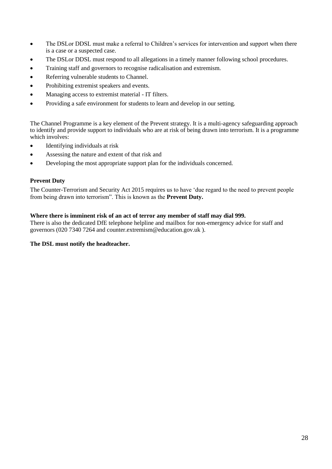- The DSL or DDSL must make a referral to Children's services for intervention and support when there is a case or a suspected case.
- The DSLor DDSL must respond to all allegations in a timely manner following school procedures.
- Training staff and governors to recognise [radicalisation](https://www.internetmatters.org/issues/radicalisation/) and [extremism.](http://educateagainsthate.com/parents/what-are-the-warning-signs/)
- Referring vulnerable students to [Channel.](http://course.ncalt.com/Channel_General_Awareness/01/index.html)
- Prohibiting extremist speakers and events.
- Managing access to extremist material IT filters.
- Providing a safe environment for students to learn and develop in our setting.

The Channel Programme is a key element of the Prevent strategy. It is a multi-agency safeguarding approach to identify and provide support to individuals who are at risk of being drawn into terrorism. It is a programme which involves:

- Identifying individuals at risk
- Assessing the nature and extent of that risk and
- Developing the most appropriate support plan for the individuals concerned.

#### **Prevent Duty**

The Counter-Terrorism and Security Act 2015 requires us to have 'due regard to the need to prevent people from being drawn into terrorism". This is known as the **Prevent Duty.**

#### **Where there is imminent risk of an act of terror any member of staff may dial 999.**

There is also the dedicated DfE telephone helpline and mailbox for non-emergency advice for staff and governors (020 7340 7264 and counter.extremism@education.gov.uk ).

#### **The DSL must notify the headteacher.**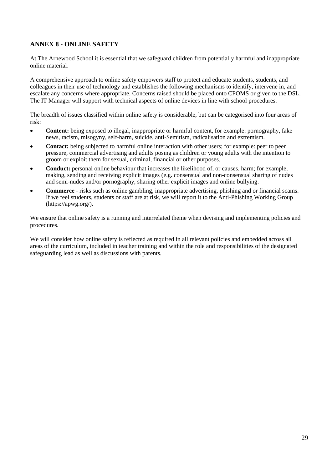# **ANNEX 8 - ONLINE SAFETY**

At The Arnewood School it is essential that we safeguard children from potentially harmful and inappropriate online material.

A comprehensive approach to online safety empowers staff to protect and educate students, students, and colleagues in their use of technology and establishes the following mechanisms to identify, intervene in, and escalate any concerns where appropriate. Concerns raised should be placed onto CPOMS or given to the DSL. The IT Manager will support with technical aspects of online devices in line with school procedures.

The breadth of issues classified within online safety is considerable, but can be categorised into four areas of risk:

- **Content:** being exposed to illegal, inappropriate or harmful content, for example: pornography, fake news, racism, misogyny, self-harm, suicide, anti-Semitism, radicalisation and extremism.
- **Contact:** being subjected to harmful online interaction with other users; for example: peer to peer pressure, commercial advertising and adults posing as children or young adults with the intention to groom or exploit them for sexual, criminal, financial or other purposes.
- **Conduct:** personal online behaviour that increases the likelihood of, or causes, harm; for example, making, sending and receiving explicit images (e.g. consensual and non-consensual sharing of nudes and semi-nudes and/or pornography, sharing other explicit images and online bullying.
- **Commerce** risks such as online gambling, inappropriate advertising, phishing and or financial scams. If we feel students, students or staff are at risk, we will report it to the Anti-Phishing Working Group [\(https://apwg.org/\)](https://apwg.org/).

We ensure that online safety is a running and interrelated theme when devising and implementing policies and procedures.

We will consider how online safety is reflected as required in all relevant policies and embedded across all areas of the curriculum, included in teacher training and within the role and responsibilities of the designated safeguarding lead as well as discussions with parents.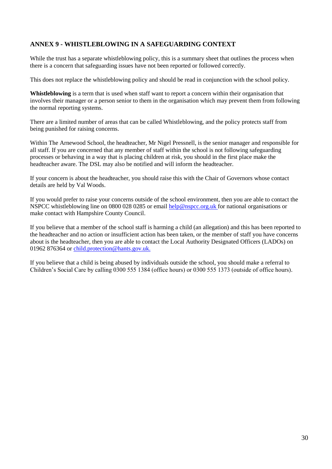# **ANNEX 9 - WHISTLEBLOWING IN A SAFEGUARDING CONTEXT**

While the trust has a separate whistleblowing policy, this is a summary sheet that outlines the process when there is a concern that safeguarding issues have not been reported or followed correctly.

This does not replace the whistleblowing policy and should be read in conjunction with the school policy.

**Whistleblowing** is a term that is used when staff want to report a concern within their organisation that involves their manager or a person senior to them in the organisation which may prevent them from following the normal reporting systems.

There are a limited number of areas that can be called Whistleblowing, and the policy protects staff from being punished for raising concerns.

Within The Arnewood School, the headteacher, Mr Nigel Pressnell, is the senior manager and responsible for all staff. If you are concerned that any member of staff within the school is not following safeguarding processes or behaving in a way that is placing children at risk, you should in the first place make the headteacher aware. The DSL may also be notified and will inform the headteacher.

If your concern is about the headteacher, you should raise this with the Chair of Governors whose contact details are held by Val Woods.

If you would prefer to raise your concerns outside of the school environment, then you are able to contact the NSPCC whistleblowing line on 0800 028 0285 or email [help@nspcc.org.uk f](mailto:help@nspcc.org.uk)or national organisations or make contact with Hampshire County Council.

If you believe that a member of the school staff is harming a child (an allegation) and this has been reported to the headteacher and no action or insufficient action has been taken, or the member of staff you have concerns about is the headteacher, then you are able to contact the Local Authority Designated Officers (LADOs) on 01962 876364 or [child.protection@hants.gov.uk.](mailto:child.protection@hants.gov.uk)

If you believe that a child is being abused by individuals outside the school, you should make a referral to Children's Social Care by calling 0300 555 1384 (office hours) or 0300 555 1373 (outside of office hours).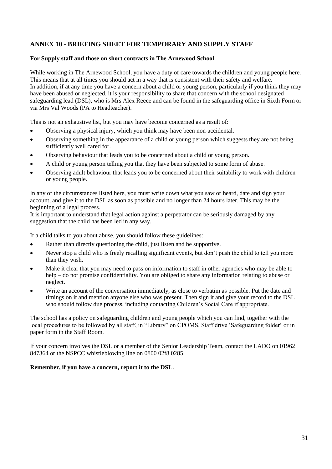# **ANNEX 10 - BRIEFING SHEET FOR TEMPORARY AND SUPPLY STAFF**

#### **For Supply staff and those on short contracts in The Arnewood School**

While working in The Arnewood School, you have a duty of care towards the children and young people here. This means that at all times you should act in a way that is consistent with their safety and welfare. In addition, if at any time you have a concern about a child or young person, particularly if you think they may have been abused or neglected, it is your responsibility to share that concern with the school designated safeguarding lead (DSL), who is Mrs Alex Reece and can be found in the safeguarding office in Sixth Form or via Mrs Val Woods (PA to Headteacher).

This is not an exhaustive list, but you may have become concerned as a result of:

- Observing a physical injury, which you think may have been non-accidental.
- Observing something in the appearance of a child or young person which suggests they are not being sufficiently well cared for.
- Observing behaviour that leads you to be concerned about a child or young person.
- A child or young person telling you that they have been subjected to some form of abuse.
- Observing adult behaviour that leads you to be concerned about their suitability to work with children or young people.

In any of the circumstances listed here, you must write down what you saw or heard, date and sign your account, and give it to the DSL as soon as possible and no longer than 24 hours later. This may be the beginning of a legal process.

It is important to understand that legal action against a perpetrator can be seriously damaged by any suggestion that the child has been led in any way.

If a child talks to you about abuse, you should follow these guidelines:

- Rather than directly questioning the child, just listen and be supportive.
- Never stop a child who is freely recalling significant events, but don't push the child to tell you more than they wish.
- Make it clear that you may need to pass on information to staff in other agencies who may be able to help – do not promise confidentiality. You are obliged to share any information relating to abuse or neglect.
- Write an account of the conversation immediately, as close to verbatim as possible. Put the date and timings on it and mention anyone else who was present. Then sign it and give your record to the DSL who should follow due process, including contacting Children's Social Care if appropriate.

The school has a policy on safeguarding children and young people which you can find, together with the local procedures to be followed by all staff, in "Library" on CPOMS, Staff drive 'Safeguarding folder' or in paper form in the Staff Room.

If your concern involves the DSL or a member of the Senior Leadership Team, contact the LADO on 01962 847364 or the NSPCC whistleblowing line on 0800 02f8 0285.

#### **Remember, if you have a concern, report it to the DSL.**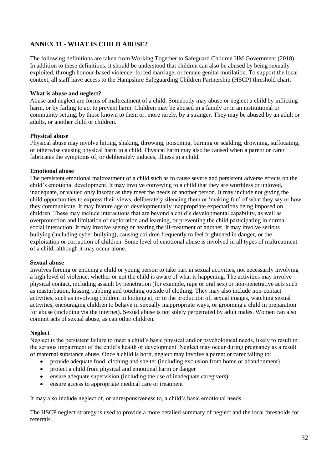# **ANNEX 11 - WHAT IS CHILD ABUSE?**

The following definitions are taken from Working Together to Safeguard Children HM Government (2018). In addition to these definitions, it should be understood that children can also be abused by being sexually exploited, through honour-based violence, forced marriage, or female genital mutilation. To support the local context, all staff have access to the Hampshire Safeguarding Children Partnership (HSCP) threshold chart.

#### **What is abuse and neglect?**

Abuse and neglect are forms of maltreatment of a child. Somebody may abuse or neglect a child by inflicting harm, or by failing to act to prevent harm. Children may be abused in a family or in an institutional or community setting, by those known to them or, more rarely, by a stranger. They may be abused by an adult or adults, or another child or children.

#### **Physical abuse**

Physical abuse may involve hitting, shaking, throwing, poisoning, burning or scalding, drowning, suffocating, or otherwise causing physical harm to a child. Physical harm may also be caused when a parent or carer fabricates the symptoms of, or deliberately induces, illness in a child.

#### **Emotional abuse**

The persistent emotional maltreatment of a child such as to cause severe and persistent adverse effects on the child's emotional development. It may involve conveying to a child that they are worthless or unloved, inadequate, or valued only insofar as they meet the needs of another person. It may include not giving the child opportunities to express their views, deliberately silencing them or 'making fun' of what they say or how they communicate. It may feature age or developmentally inappropriate expectations being imposed on children. These may include interactions that are beyond a child's developmental capability, as well as overprotection and limitation of exploration and learning, or preventing the child participating in normal social interaction. It may involve seeing or hearing the ill-treatment of another. It may involve serious bullying (including cyber bullying), causing children frequently to feel frightened in danger, or the exploitation or corruption of children. Some level of emotional abuse is involved in all types of maltreatment of a child, although it may occur alone.

#### **Sexual abuse**

Involves forcing or enticing a child or young person to take part in sexual activities, not necessarily involving a high level of violence, whether or not the child is aware of what is happening. The activities may involve physical contact, including assault by penetration (for example, rape or oral sex) or non-penetrative acts such as masturbation, kissing, rubbing and touching outside of clothing. They may also include non-contact activities, such as involving children in looking at, or in the production of, sexual images, watching sexual activities, encouraging children to behave in sexually inappropriate ways, or grooming a child in preparation for abuse (including via the internet). Sexual abuse is not solely perpetrated by adult males. Women can also commit acts of sexual abuse, as can other children.

#### **Neglect**

Neglect is the persistent failure to meet a child's basic physical and/or psychological needs, likely to result in the serious impairment of the child's health or development. Neglect may occur during pregnancy as a result of maternal substance abuse. Once a child is born, neglect may involve a parent or carer failing to:

- provide adequate food, clothing and shelter (including exclusion from home or abandonment)
- protect a child from physical and emotional harm or danger
- ensure adequate supervision (including the use of inadequate caregivers)
- ensure access to appropriate medical care or treatment

It may also include neglect of, or unresponsiveness to, a child's basic emotional needs.

The HSCP neglect strategy is used to provide a more detailed summary of neglect and the local thresholds for referrals.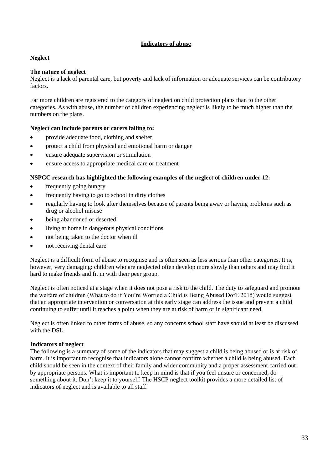#### **Indicators of abuse**

#### **Neglect**

#### **The nature of neglect**

Neglect is a lack of parental care, but poverty and lack of information or adequate services can be contributory factors.

Far more children are registered to the category of neglect on child protection plans than to the other categories. As with abuse, the number of children experiencing neglect is likely to be much higher than the numbers on the plans.

#### **Neglect can include parents or carers failing to:**

- provide adequate food, clothing and shelter
- protect a child from physical and emotional harm or danger
- ensure adequate supervision or stimulation
- ensure access to appropriate medical care or treatment

#### **NSPCC research has highlighted the following examples of the neglect of children under 12:**

- frequently going hungry
- frequently having to go to school in dirty clothes
- regularly having to look after themselves because of parents being away or having problems such as drug or alcohol misuse
- being abandoned or deserted
- living at home in dangerous physical conditions
- not being taken to the doctor when ill
- not receiving dental care

Neglect is a difficult form of abuse to recognise and is often seen as less serious than other categories. It is, however, very damaging: children who are neglected often develop more slowly than others and may find it hard to make friends and fit in with their peer group.

Neglect is often noticed at a stage when it does not pose a risk to the child. The duty to safeguard and promote the welfare of children (What to do if You're Worried a Child is Being Abused DofE 2015) would suggest that an appropriate intervention or conversation at this early stage can address the issue and prevent a child continuing to suffer until it reaches a point when they are at risk of harm or in significant need.

Neglect is often linked to other forms of abuse, so any concerns school staff have should at least be discussed with the DSL.

#### **Indicators of neglect**

The following is a summary of some of the indicators that may suggest a child is being abused or is at risk of harm. It is important to recognise that indicators alone cannot confirm whether a child is being abused. Each child should be seen in the context of their family and wider community and a proper assessment carried out by appropriate persons. What is important to keep in mind is that if you feel unsure or concerned, do something about it. Don't keep it to yourself. The HSCP neglect toolkit provides a more detailed list of indicators of neglect and is available to all staff.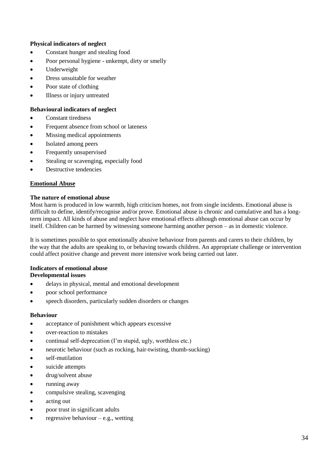#### **Physical indicators of neglect**

- Constant hunger and stealing food
- Poor personal hygiene unkempt, dirty or smelly
- Underweight
- Dress unsuitable for weather
- Poor state of clothing
- Illness or injury untreated

#### **Behavioural indicators of neglect**

- Constant tiredness
- Frequent absence from school or lateness
- Missing medical appointments
- Isolated among peers
- Frequently unsupervised
- Stealing or scavenging, especially food
- Destructive tendencies

#### **Emotional Abuse**

#### **The nature of emotional abuse**

Most harm is produced in low warmth, high criticism homes, not from single incidents. Emotional abuse is difficult to define, identify/recognise and/or prove. Emotional abuse is chronic and cumulative and has a longterm impact. All kinds of abuse and neglect have emotional effects although emotional abuse can occur by itself. Children can be harmed by witnessing someone harming another person – as in domestic violence.

It is sometimes possible to spot emotionally abusive behaviour from parents and carers to their children, by the way that the adults are speaking to, or behaving towards children. An appropriate challenge or intervention could affect positive change and prevent more intensive work being carried out later.

#### **Indicators of emotional abuse Developmental issues**

- delays in physical, mental and emotional development
- poor school performance
- speech disorders, particularly sudden disorders or changes

#### **Behaviour**

- acceptance of punishment which appears excessive
- over-reaction to mistakes
- continual self-deprecation (I'm stupid, ugly, worthless etc.)
- neurotic behaviour (such as rocking, hair-twisting, thumb-sucking)
- self-mutilation
- suicide attempts
- drug/solvent abuse
- running away
- compulsive stealing, scavenging
- acting out
- poor trust in significant adults
- regressive behaviour  $-e.g.,$  wetting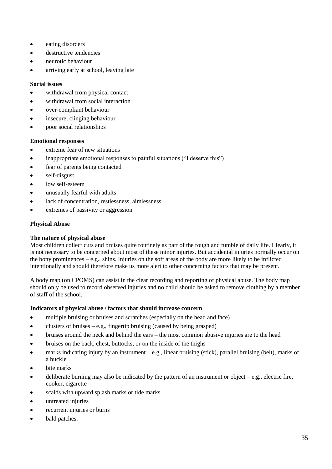- eating disorders
- destructive tendencies
- neurotic behaviour
- arriving early at school, leaving late

#### **Social issues**

- withdrawal from physical contact
- withdrawal from social interaction
- over-compliant behaviour
- insecure, clinging behaviour
- poor social relationships

#### **Emotional responses**

- extreme fear of new situations
- inappropriate emotional responses to painful situations ("I deserve this")
- fear of parents being contacted
- self-disgust
- low self-esteem
- unusually fearful with adults
- lack of concentration, restlessness, aimlessness
- extremes of passivity or aggression

#### **Physical Abuse**

#### **The nature of physical abuse**

Most children collect cuts and bruises quite routinely as part of the rough and tumble of daily life. Clearly, it is not necessary to be concerned about most of these minor injuries. But accidental injuries normally occur on the bony prominences  $-e.g.,$  shins. Injuries on the soft areas of the body are more likely to be inflicted intentionally and should therefore make us more alert to other concerning factors that may be present.

A body map (on CPOMS) can assist in the clear recording and reporting of physical abuse. The body map should only be used to record observed injuries and no child should be asked to remove clothing by a member of staff of the school.

#### **Indicators of physical abuse / factors that should increase concern**

- multiple bruising or bruises and scratches (especially on the head and face)
- clusters of bruises  $-e.g.,$  fingertip bruising (caused by being grasped)
- bruises around the neck and behind the ears the most common abusive injuries are to the head
- bruises on the back, chest, buttocks, or on the inside of the thighs
- marks indicating injury by an instrument e.g., linear bruising (stick), parallel bruising (belt), marks of a buckle
- bite marks
- deliberate burning may also be indicated by the pattern of an instrument or object  $-e.g.,$  electric fire, cooker, cigarette
- scalds with upward splash marks or tide marks
- untreated injuries
- recurrent injuries or burns
- bald patches.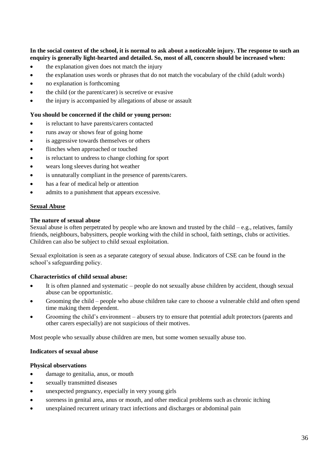#### **In the social context of the school, it is normal to ask about a noticeable injury. The response to such an enquiry is generally light-hearted and detailed. So, most of all, concern should be increased when:**

- the explanation given does not match the injury
- the explanation uses words or phrases that do not match the vocabulary of the child (adult words)
- no explanation is forthcoming
- the child (or the parent/carer) is secretive or evasive
- the injury is accompanied by allegations of abuse or assault

#### **You should be concerned if the child or young person:**

- is reluctant to have parents/carers contacted
- runs away or shows fear of going home
- is aggressive towards themselves or others
- flinches when approached or touched
- is reluctant to undress to change clothing for sport
- wears long sleeves during hot weather
- is unnaturally compliant in the presence of parents/carers.
- has a fear of medical help or attention
- admits to a punishment that appears excessive.

#### **Sexual Abuse**

#### **The nature of sexual abuse**

Sexual abuse is often perpetrated by people who are known and trusted by the child  $-e.g.,$  relatives, family friends, neighbours, babysitters, people working with the child in school, faith settings, clubs or activities. Children can also be subject to child sexual exploitation.

Sexual exploitation is seen as a separate category of sexual abuse. Indicators of CSE can be found in the school's safeguarding policy.

#### **Characteristics of child sexual abuse:**

- It is often planned and systematic people do not sexually abuse children by accident, though sexual abuse can be opportunistic.
- Grooming the child people who abuse children take care to choose a vulnerable child and often spend time making them dependent.
- Grooming the child's environment abusers try to ensure that potential adult protectors (parents and other carers especially) are not suspicious of their motives.

Most people who sexually abuse children are men, but some women sexually abuse too.

#### **Indicators of sexual abuse**

#### **Physical observations**

- damage to genitalia, anus, or mouth
- sexually transmitted diseases
- unexpected pregnancy, especially in very young girls
- soreness in genital area, anus or mouth, and other medical problems such as chronic itching
- unexplained recurrent urinary tract infections and discharges or abdominal pain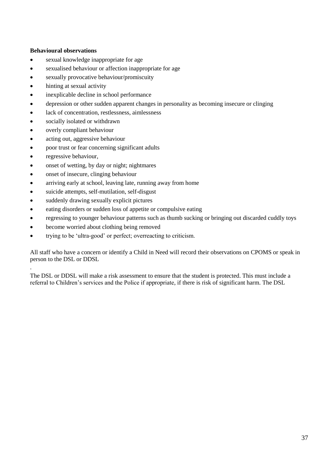#### **Behavioural observations**

- sexual knowledge inappropriate for age
- sexualised behaviour or affection inappropriate for age
- sexually provocative behaviour/promiscuity
- hinting at sexual activity
- inexplicable decline in school performance
- depression or other sudden apparent changes in personality as becoming insecure or clinging
- lack of concentration, restlessness, aimlessness
- socially isolated or withdrawn
- overly compliant behaviour
- acting out, aggressive behaviour
- poor trust or fear concerning significant adults
- regressive behaviour,

.

- onset of wetting, by day or night; nightmares
- onset of insecure, clinging behaviour
- arriving early at school, leaving late, running away from home
- suicide attempts, self-mutilation, self-disgust
- suddenly drawing sexually explicit pictures
- eating disorders or sudden loss of appetite or compulsive eating
- regressing to younger behaviour patterns such as thumb sucking or bringing out discarded cuddly toys
- become worried about clothing being removed
- trying to be 'ultra-good' or perfect; overreacting to criticism.

All staff who have a concern or identify a Child in Need will record their observations on CPOMS or speak in person to the DSL or DDSL

The DSL or DDSL will make a risk assessment to ensure that the student is protected. This must include a referral to Children's services and the Police if appropriate, if there is risk of significant harm. The DSL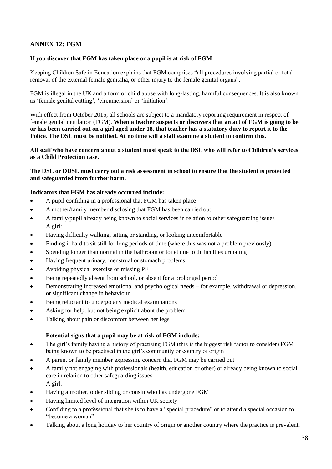# **ANNEX 12: FGM**

#### **If you discover that FGM has taken place or a pupil is at risk of FGM**

Keeping Children Safe in Education explains that FGM comprises "all procedures involving partial or total removal of the external female genitalia, or other injury to the female genital organs".

FGM is illegal in the UK and a form of child abuse with long-lasting, harmful consequences. It is also known as 'female genital cutting', 'circumcision' or 'initiation'.

With effect from October 2015, all schools are subject to a mandatory reporting requirement in respect of female genital mutilation (FGM). **When a teacher suspects or discovers that an act of FGM is going to be or has been carried out on a girl aged under 18, that teacher has a statutory duty to report it to the Police. The DSL must be notified. At no time will a staff examine a student to confirm this.** 

**All staff who have concern about a student must speak to the DSL who will refer to Children's services as a Child Protection case.** 

**The DSL or DDSL must carry out a risk assessment in school to ensure that the student is protected and safeguarded from further harm.**

#### **Indicators that FGM has already occurred include:**

- A pupil confiding in a professional that FGM has taken place
- A mother/family member disclosing that FGM has been carried out
- A family/pupil already being known to social services in relation to other safeguarding issues A girl:
- Having difficulty walking, sitting or standing, or looking uncomfortable
- Finding it hard to sit still for long periods of time (where this was not a problem previously)
- Spending longer than normal in the bathroom or toilet due to difficulties urinating
- Having frequent urinary, menstrual or stomach problems
- Avoiding physical exercise or missing PE
- Being repeatedly absent from school, or absent for a prolonged period
- Demonstrating increased emotional and psychological needs for example, withdrawal or depression, or significant change in behaviour
- Being reluctant to undergo any medical examinations
- Asking for help, but not being explicit about the problem
- Talking about pain or discomfort between her legs

#### **Potential signs that a pupil may be at risk of FGM include:**

- The girl's family having a history of practising FGM (this is the biggest risk factor to consider) FGM being known to be practised in the girl's community or country of origin
- A parent or family member expressing concern that FGM may be carried out
- A family not engaging with professionals (health, education or other) or already being known to social care in relation to other safeguarding issues A girl:
- Having a mother, older sibling or cousin who has undergone FGM
- Having limited level of integration within UK society
- Confiding to a professional that she is to have a "special procedure" or to attend a special occasion to "become a woman"
- Talking about a long holiday to her country of origin or another country where the practice is prevalent,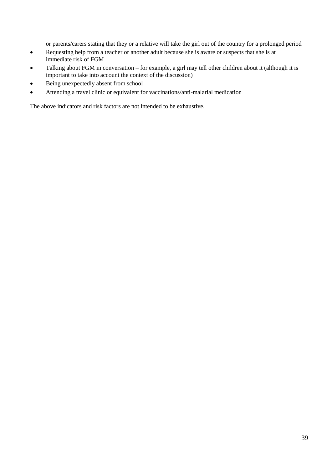or parents/carers stating that they or a relative will take the girl out of the country for a prolonged period

- Requesting help from a teacher or another adult because she is aware or suspects that she is at immediate risk of FGM
- Talking about FGM in conversation for example, a girl may tell other children about it (although it is important to take into account the context of the discussion)
- Being unexpectedly absent from school
- Attending a travel clinic or equivalent for vaccinations/anti-malarial medication

The above indicators and risk factors are not intended to be exhaustive.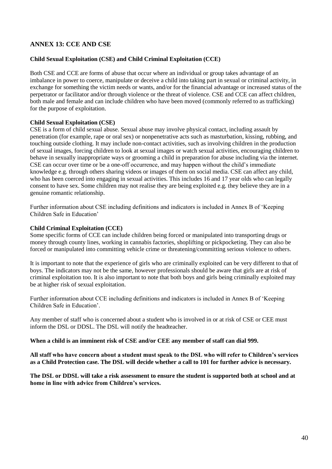# **ANNEX 13: CCE AND CSE**

#### **Child Sexual Exploitation (CSE) and Child Criminal Exploitation (CCE)**

Both CSE and CCE are forms of abuse that occur where an individual or group takes advantage of an imbalance in power to coerce, manipulate or deceive a child into taking part in sexual or criminal activity, in exchange for something the victim needs or wants, and/or for the financial advantage or increased status of the perpetrator or facilitator and/or through violence or the threat of violence. CSE and CCE can affect children, both male and female and can include children who have been moved (commonly referred to as trafficking) for the purpose of exploitation.

#### **Child Sexual Exploitation (CSE)**

CSE is a form of child sexual abuse. Sexual abuse may involve physical contact, including assault by penetration (for example, rape or oral sex) or nonpenetrative acts such as masturbation, kissing, rubbing, and touching outside clothing. It may include non-contact activities, such as involving children in the production of sexual images, forcing children to look at sexual images or watch sexual activities, encouraging children to behave in sexually inappropriate ways or grooming a child in preparation for abuse including via the internet. CSE can occur over time or be a one-off occurrence, and may happen without the child's immediate knowledge e.g. through others sharing videos or images of them on social media. CSE can affect any child, who has been coerced into engaging in sexual activities. This includes 16 and 17 year olds who can legally consent to have sex. Some children may not realise they are being exploited e.g. they believe they are in a genuine romantic relationship.

Further information about CSE including definitions and indicators is included in Annex B of 'Keeping Children Safe in Education'

#### **Child Criminal Exploitation (CCE)**

Some specific forms of CCE can include children being forced or manipulated into transporting drugs or money through county lines, working in cannabis factories, shoplifting or pickpocketing. They can also be forced or manipulated into committing vehicle crime or threatening/committing serious violence to others.

It is important to note that the experience of girls who are criminally exploited can be very different to that of boys. The indicators may not be the same, however professionals should be aware that girls are at risk of criminal exploitation too. It is also important to note that both boys and girls being criminally exploited may be at higher risk of sexual exploitation.

Further information about CCE including definitions and indicators is included in Annex B of 'Keeping Children Safe in Education'.

Any member of staff who is concerned about a student who is involved in or at risk of CSE or CEE must inform the DSL or DDSL. The DSL will notify the headteacher.

**When a child is an imminent risk of CSE and/or CEE any member of staff can dial 999.**

**All staff who have concern about a student must speak to the DSL who will refer to Children's services as a Child Protection case. The DSL will decide whether a call to 101 for further advice is necessary.**

**The DSL or DDSL will take a risk assessment to ensure the student is supported both at school and at home in line with advice from Children's services.**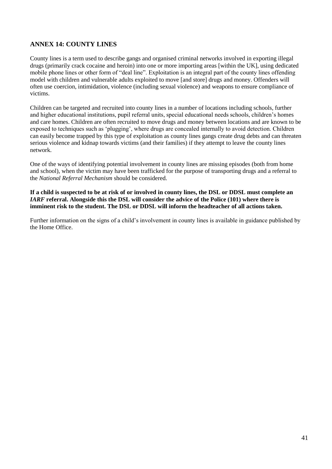# **ANNEX 14: COUNTY LINES**

County lines is a term used to describe gangs and organised criminal networks involved in exporting illegal drugs (primarily crack cocaine and heroin) into one or more importing areas [within the UK], using dedicated mobile phone lines or other form of "deal line". Exploitation is an integral part of the county lines offending model with children and vulnerable adults exploited to move [and store] drugs and money. Offenders will often use coercion, intimidation, violence (including sexual violence) and weapons to ensure compliance of victims.

Children can be targeted and recruited into county lines in a number of locations including schools, further and higher educational institutions, pupil referral units, special educational needs schools, children's homes and care homes. Children are often recruited to move drugs and money between locations and are known to be exposed to techniques such as 'plugging', where drugs are concealed internally to avoid detection. Children can easily become trapped by this type of exploitation as county lines gangs create drug debts and can threaten serious violence and kidnap towards victims (and their families) if they attempt to leave the county lines network.

One of the ways of identifying potential involvement in county lines are missing episodes (both from home and school), when the victim may have been trafficked for the purpose of transporting drugs and a referral to the *National Referral Mechanism* should be considered.

**If a child is suspected to be at risk of or involved in county lines, the DSL or DDSL must complete an**  *IARF* **referral. Alongside this the DSL will consider the advice of the Police (101) where there is imminent risk to the student. The DSL or DDSL will inform the headteacher of all actions taken.**

Further information on the signs of a child's involvement in county lines is available in guidance published by the Home Office.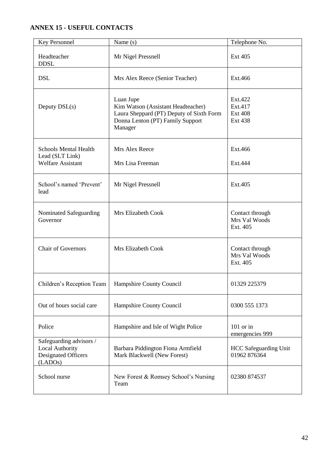# **ANNEX 15 - USEFUL CONTACTS**

| Key Personnel                                                                       | Name $(s)$                                                                                                                                 | Telephone No.                                          |
|-------------------------------------------------------------------------------------|--------------------------------------------------------------------------------------------------------------------------------------------|--------------------------------------------------------|
| Headteacher<br><b>DDSL</b>                                                          | Mr Nigel Pressnell                                                                                                                         | Ext 405                                                |
| <b>DSL</b>                                                                          | Mrs Alex Reece (Senior Teacher)                                                                                                            | Ext.466                                                |
| Deputy $DSL(s)$                                                                     | Luan Jupe<br>Kim Watson (Assistant Headteacher)<br>Laura Sheppard (PT) Deputy of Sixth Form<br>Donna Lenton (PT) Family Support<br>Manager | Ext.422<br>Ext.417<br><b>Ext 408</b><br><b>Ext 438</b> |
| <b>Schools Mental Health</b><br>Lead (SLT Link)                                     | Mrs Alex Reece                                                                                                                             | Ext.466                                                |
| <b>Welfare Assistant</b>                                                            | Mrs Lisa Freeman                                                                                                                           | Ext.444                                                |
| School's named 'Prevent'<br>lead                                                    | Mr Nigel Pressnell                                                                                                                         | Ext.405                                                |
| Nominated Safeguarding<br>Governor                                                  | Mrs Elizabeth Cook                                                                                                                         | Contact through<br>Mrs Val Woods<br>Ext. 405           |
| <b>Chair of Governors</b>                                                           | Mrs Elizabeth Cook                                                                                                                         | Contact through<br>Mrs Val Woods<br>Ext. 405           |
| Children's Reception Team                                                           | Hampshire County Council                                                                                                                   | 01329 225379                                           |
| Out of hours social care                                                            | Hampshire County Council                                                                                                                   | 0300 555 1373                                          |
| Police                                                                              | Hampshire and Isle of Wight Police                                                                                                         | $101$ or in<br>emergencies 999                         |
| Safeguarding advisors /<br>Local Authority<br><b>Designated Officers</b><br>(LADOs) | Barbara Piddington Fiona Armfield<br>Mark Blackwell (New Forest)                                                                           | <b>HCC</b> Safeguarding Unit<br>01962 876364           |
| School nurse                                                                        | New Forest & Romsey School's Nursing<br>Team                                                                                               | 02380 874537                                           |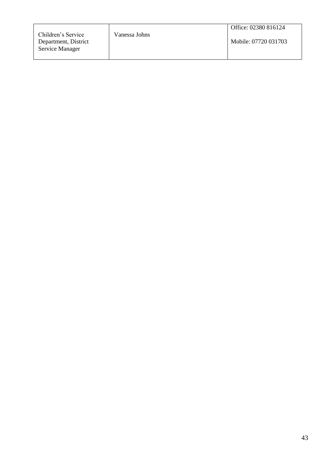|                      |               | Office: 02380 816124 |
|----------------------|---------------|----------------------|
| Children's Service   | Vanessa Johns |                      |
| Department, District |               | Mobile: 07720 031703 |
| Service Manager      |               |                      |
|                      |               |                      |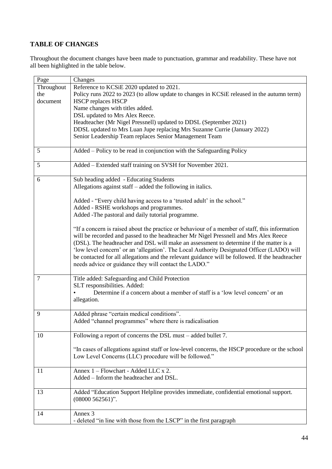# **TABLE OF CHANGES**

Throughout the document changes have been made to punctuation, grammar and readability. These have not all been highlighted in the table below.

| Page           | Changes                                                                                         |
|----------------|-------------------------------------------------------------------------------------------------|
| Throughout     | Reference to KCSiE 2020 updated to 2021.                                                        |
| the            | Policy runs 2022 to 2023 (to allow update to changes in KCSiE released in the autumn term)      |
| document       | <b>HSCP</b> replaces HSCP                                                                       |
|                | Name changes with titles added.                                                                 |
|                | DSL updated to Mrs Alex Reece.                                                                  |
|                | Headteacher (Mr Nigel Pressnell) updated to DDSL (September 2021)                               |
|                | DDSL updated to Mrs Luan Jupe replacing Mrs Suzanne Currie (January 2022)                       |
|                | Senior Leadership Team replaces Senior Management Team                                          |
|                |                                                                                                 |
| 5              | Added – Policy to be read in conjunction with the Safeguarding Policy                           |
|                |                                                                                                 |
| 5              | Added - Extended staff training on SVSH for November 2021.                                      |
| 6              | Sub heading added - Educating Students                                                          |
|                | Allegations against staff $-$ added the following in italics.                                   |
|                |                                                                                                 |
|                | Added - "Every child having access to a 'trusted adult' in the school."                         |
|                | Added - RSHE workshops and programmes.                                                          |
|                | Added -The pastoral and daily tutorial programme.                                               |
|                |                                                                                                 |
|                | "If a concern is raised about the practice or behaviour of a member of staff, this information  |
|                | will be recorded and passed to the headteacher Mr Nigel Pressnell and Mrs Alex Reece            |
|                | (DSL). The headteacher and DSL will make an assessment to determine if the matter is a          |
|                | 'low level concern' or an 'allegation'. The Local Authority Designated Officer (LADO) will      |
|                | be contacted for all allegations and the relevant guidance will be followed. If the headteacher |
|                | needs advice or guidance they will contact the LADO."                                           |
|                |                                                                                                 |
| $\overline{7}$ | Title added: Safeguarding and Child Protection                                                  |
|                | SLT responsibilities. Added:                                                                    |
|                | Determine if a concern about a member of staff is a 'low level concern' or an                   |
|                | allegation.                                                                                     |
|                |                                                                                                 |
| 9              | Added phrase "certain medical conditions".                                                      |
|                | Added "channel programmes" where there is radicalisation                                        |
|                |                                                                                                 |
| 10             | Following a report of concerns the DSL must – added bullet 7.                                   |
|                |                                                                                                 |
|                | "In cases of allegations against staff or low-level concerns, the HSCP procedure or the school  |
|                | Low Level Concerns (LLC) procedure will be followed."                                           |
|                | Annex 1 – Flowchart - Added LLC x 2.                                                            |
| 11             |                                                                                                 |
|                | Added - Inform the headteacher and DSL.                                                         |
| 13             | Added "Education Support Helpline provides immediate, confidential emotional support.           |
|                | $(08000562561)$ ".                                                                              |
|                |                                                                                                 |
| 14             | Annex 3                                                                                         |
|                | - deleted "in line with those from the LSCP" in the first paragraph                             |
|                |                                                                                                 |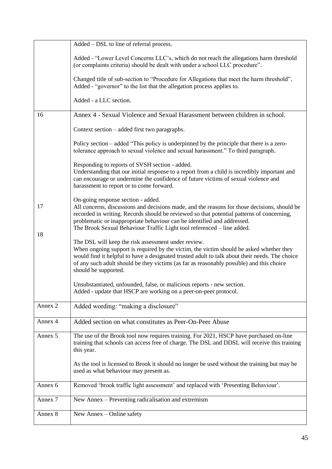|          | Added – DSL to line of referral process.                                                                                                                                                                                                                                                                                                                                             |
|----------|--------------------------------------------------------------------------------------------------------------------------------------------------------------------------------------------------------------------------------------------------------------------------------------------------------------------------------------------------------------------------------------|
|          | Added - "Lower Level Concerns LLC's, which do not reach the allegations harm threshold<br>(or complaints criteria) should be dealt with under a school LLC procedure".                                                                                                                                                                                                               |
|          | Changed title of sub-section to "Procedure for Allegations that meet the harm threshold".<br>Added - "governor" to the list that the allegation process applies to.                                                                                                                                                                                                                  |
|          | Added - a LLC section.                                                                                                                                                                                                                                                                                                                                                               |
| 16       | Annex 4 - Sexual Violence and Sexual Harassment between children in school.                                                                                                                                                                                                                                                                                                          |
|          | Context section – added first two paragraphs.                                                                                                                                                                                                                                                                                                                                        |
|          | Policy section – added "This policy is underpinned by the principle that there is a zero-<br>tolerance approach to sexual violence and sexual harassment." To third paragraph.                                                                                                                                                                                                       |
|          | Responding to reports of SVSH section - added.<br>Understanding that our initial response to a report from a child is incredibly important and<br>can encourage or undermine the confidence of future victims of sexual violence and<br>harassment to report or to come forward.                                                                                                     |
| 17<br>18 | On-going response section - added.<br>All concerns, discussions and decisions made, and the reasons for those decisions, should be<br>recorded in writing. Records should be reviewed so that potential patterns of concerning,<br>problematic or inappropriate behaviour can be identified and addressed.<br>The Brook Sexual Behaviour Traffic Light tool referenced - line added. |
|          | The DSL will keep the risk assessment under review.<br>When ongoing support is required by the victim, the victim should be asked whether they<br>would find it helpful to have a designated trusted adult to talk about their needs. The choice<br>of any such adult should be they victims (as far as reasonably possible) and this choice<br>should be supported.                 |
|          | Unsubstantiated, unfounded, false, or malicious reports - new section.<br>Added - update that HSCP are working on a peer-on-peer protocol.                                                                                                                                                                                                                                           |
| Annex 2  | Added wording: "making a disclosure"                                                                                                                                                                                                                                                                                                                                                 |
| Annex 4  | Added section on what constitutes as Peer-On-Peer Abuse                                                                                                                                                                                                                                                                                                                              |
| Annex 5  | The use of the Brook tool now requires training. For 2021, HSCP have purchased on-line<br>training that schools can access free of charge. The DSL and DDSL will receive this training<br>this year.                                                                                                                                                                                 |
|          | As the tool is licensed to Brook it should no longer be used without the training but may be<br>used as what behaviour may present as.                                                                                                                                                                                                                                               |
| Annex 6  | Removed 'brook traffic light assessment' and replaced with 'Presenting Behaviour'.                                                                                                                                                                                                                                                                                                   |
| Annex 7  | New Annex – Preventing radicalisation and extremism                                                                                                                                                                                                                                                                                                                                  |
| Annex 8  | New Annex - Online safety                                                                                                                                                                                                                                                                                                                                                            |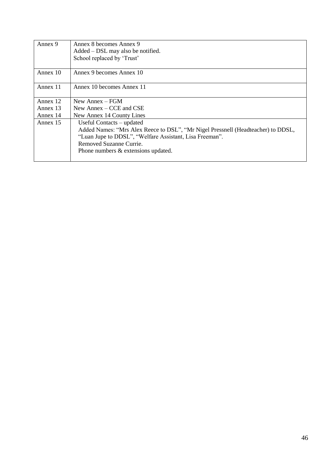| Annex 9  | Annex 8 becomes Annex 9<br>Added – DSL may also be notified.<br>School replaced by 'Trust' |
|----------|--------------------------------------------------------------------------------------------|
| Annex 10 | Annex 9 becomes Annex 10                                                                   |
| Annex 11 | Annex 10 becomes Annex 11                                                                  |
| Annex 12 | New Annex $-$ FGM                                                                          |
| Annex 13 | New Annex $-$ CCE and CSE                                                                  |
| Annex 14 | New Annex 14 County Lines                                                                  |
| Annex 15 | Useful Contacts – updated                                                                  |
|          | Added Names: "Mrs Alex Reece to DSL", "Mr Nigel Pressnell (Headteacher) to DDSL,           |
|          | "Luan Jupe to DDSL", "Welfare Assistant, Lisa Freeman".                                    |
|          | Removed Suzanne Currie.                                                                    |
|          | Phone numbers & extensions updated.                                                        |